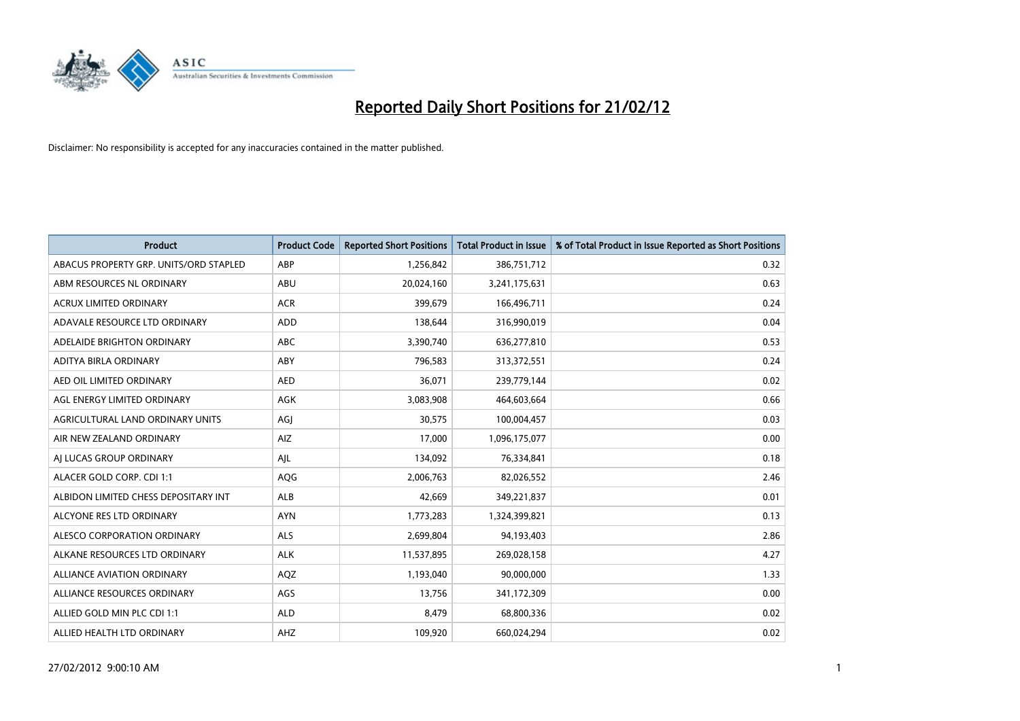

| <b>Product</b>                         | <b>Product Code</b> | <b>Reported Short Positions</b> | <b>Total Product in Issue</b> | % of Total Product in Issue Reported as Short Positions |
|----------------------------------------|---------------------|---------------------------------|-------------------------------|---------------------------------------------------------|
| ABACUS PROPERTY GRP. UNITS/ORD STAPLED | ABP                 | 1,256,842                       | 386,751,712                   | 0.32                                                    |
| ABM RESOURCES NL ORDINARY              | ABU                 | 20,024,160                      | 3,241,175,631                 | 0.63                                                    |
| <b>ACRUX LIMITED ORDINARY</b>          | <b>ACR</b>          | 399,679                         | 166,496,711                   | 0.24                                                    |
| ADAVALE RESOURCE LTD ORDINARY          | <b>ADD</b>          | 138,644                         | 316,990,019                   | 0.04                                                    |
| ADELAIDE BRIGHTON ORDINARY             | ABC                 | 3,390,740                       | 636,277,810                   | 0.53                                                    |
| ADITYA BIRLA ORDINARY                  | ABY                 | 796,583                         | 313,372,551                   | 0.24                                                    |
| AED OIL LIMITED ORDINARY               | <b>AED</b>          | 36,071                          | 239,779,144                   | 0.02                                                    |
| AGL ENERGY LIMITED ORDINARY            | AGK                 | 3,083,908                       | 464,603,664                   | 0.66                                                    |
| AGRICULTURAL LAND ORDINARY UNITS       | AGJ                 | 30,575                          | 100,004,457                   | 0.03                                                    |
| AIR NEW ZEALAND ORDINARY               | AIZ                 | 17,000                          | 1,096,175,077                 | 0.00                                                    |
| AI LUCAS GROUP ORDINARY                | AJL                 | 134,092                         | 76,334,841                    | 0.18                                                    |
| ALACER GOLD CORP. CDI 1:1              | AQG                 | 2,006,763                       | 82,026,552                    | 2.46                                                    |
| ALBIDON LIMITED CHESS DEPOSITARY INT   | ALB                 | 42,669                          | 349,221,837                   | 0.01                                                    |
| ALCYONE RES LTD ORDINARY               | <b>AYN</b>          | 1,773,283                       | 1,324,399,821                 | 0.13                                                    |
| ALESCO CORPORATION ORDINARY            | <b>ALS</b>          | 2,699,804                       | 94,193,403                    | 2.86                                                    |
| ALKANE RESOURCES LTD ORDINARY          | <b>ALK</b>          | 11,537,895                      | 269,028,158                   | 4.27                                                    |
| ALLIANCE AVIATION ORDINARY             | AQZ                 | 1,193,040                       | 90,000,000                    | 1.33                                                    |
| ALLIANCE RESOURCES ORDINARY            | AGS                 | 13,756                          | 341,172,309                   | 0.00                                                    |
| ALLIED GOLD MIN PLC CDI 1:1            | <b>ALD</b>          | 8,479                           | 68,800,336                    | 0.02                                                    |
| ALLIED HEALTH LTD ORDINARY             | AHZ                 | 109,920                         | 660,024,294                   | 0.02                                                    |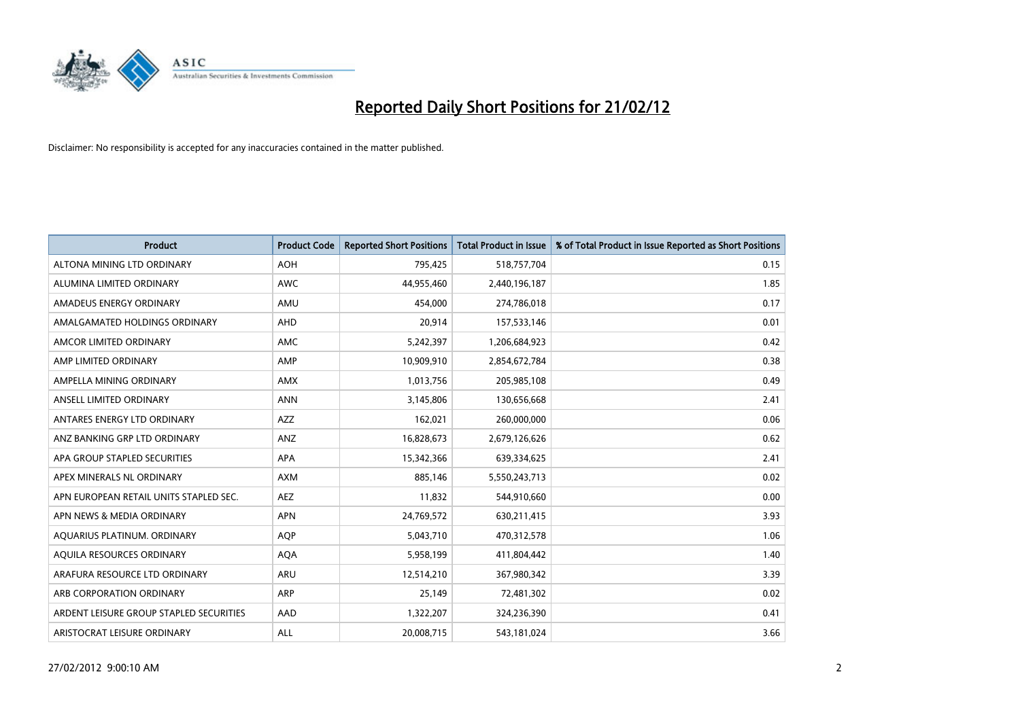

| Product                                 | <b>Product Code</b> | <b>Reported Short Positions</b> | <b>Total Product in Issue</b> | % of Total Product in Issue Reported as Short Positions |
|-----------------------------------------|---------------------|---------------------------------|-------------------------------|---------------------------------------------------------|
| ALTONA MINING LTD ORDINARY              | <b>AOH</b>          | 795,425                         | 518,757,704                   | 0.15                                                    |
| ALUMINA LIMITED ORDINARY                | <b>AWC</b>          | 44,955,460                      | 2,440,196,187                 | 1.85                                                    |
| AMADEUS ENERGY ORDINARY                 | AMU                 | 454,000                         | 274,786,018                   | 0.17                                                    |
| AMALGAMATED HOLDINGS ORDINARY           | <b>AHD</b>          | 20,914                          | 157,533,146                   | 0.01                                                    |
| AMCOR LIMITED ORDINARY                  | AMC                 | 5,242,397                       | 1,206,684,923                 | 0.42                                                    |
| AMP LIMITED ORDINARY                    | AMP                 | 10,909,910                      | 2,854,672,784                 | 0.38                                                    |
| AMPELLA MINING ORDINARY                 | <b>AMX</b>          | 1,013,756                       | 205,985,108                   | 0.49                                                    |
| ANSELL LIMITED ORDINARY                 | <b>ANN</b>          | 3,145,806                       | 130,656,668                   | 2.41                                                    |
| ANTARES ENERGY LTD ORDINARY             | AZZ                 | 162,021                         | 260,000,000                   | 0.06                                                    |
| ANZ BANKING GRP LTD ORDINARY            | ANZ                 | 16,828,673                      | 2,679,126,626                 | 0.62                                                    |
| APA GROUP STAPLED SECURITIES            | APA                 | 15,342,366                      | 639,334,625                   | 2.41                                                    |
| APEX MINERALS NL ORDINARY               | AXM                 | 885,146                         | 5,550,243,713                 | 0.02                                                    |
| APN EUROPEAN RETAIL UNITS STAPLED SEC.  | <b>AEZ</b>          | 11,832                          | 544,910,660                   | 0.00                                                    |
| APN NEWS & MEDIA ORDINARY               | <b>APN</b>          | 24,769,572                      | 630,211,415                   | 3.93                                                    |
| AQUARIUS PLATINUM. ORDINARY             | <b>AOP</b>          | 5,043,710                       | 470,312,578                   | 1.06                                                    |
| AQUILA RESOURCES ORDINARY               | <b>AQA</b>          | 5,958,199                       | 411,804,442                   | 1.40                                                    |
| ARAFURA RESOURCE LTD ORDINARY           | ARU                 | 12,514,210                      | 367,980,342                   | 3.39                                                    |
| ARB CORPORATION ORDINARY                | ARP                 | 25,149                          | 72,481,302                    | 0.02                                                    |
| ARDENT LEISURE GROUP STAPLED SECURITIES | AAD                 | 1,322,207                       | 324,236,390                   | 0.41                                                    |
| ARISTOCRAT LEISURE ORDINARY             | ALL                 | 20,008,715                      | 543,181,024                   | 3.66                                                    |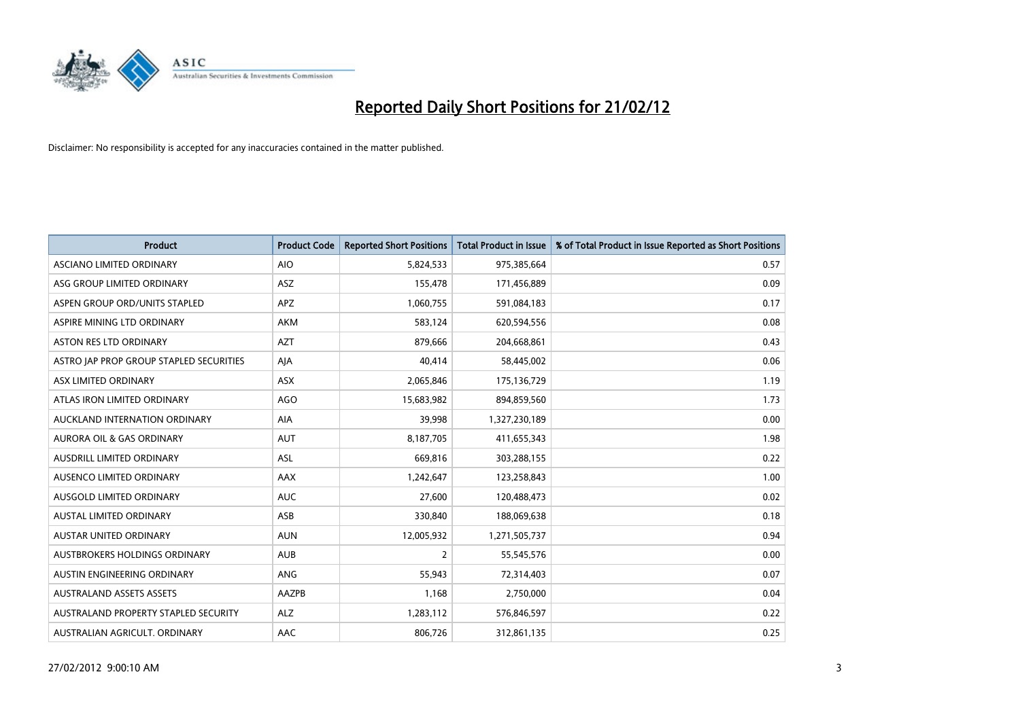

| <b>Product</b>                          | <b>Product Code</b> | <b>Reported Short Positions</b> | <b>Total Product in Issue</b> | % of Total Product in Issue Reported as Short Positions |
|-----------------------------------------|---------------------|---------------------------------|-------------------------------|---------------------------------------------------------|
| ASCIANO LIMITED ORDINARY                | <b>AIO</b>          | 5,824,533                       | 975,385,664                   | 0.57                                                    |
| ASG GROUP LIMITED ORDINARY              | ASZ                 | 155,478                         | 171,456,889                   | 0.09                                                    |
| ASPEN GROUP ORD/UNITS STAPLED           | <b>APZ</b>          | 1,060,755                       | 591,084,183                   | 0.17                                                    |
| ASPIRE MINING LTD ORDINARY              | <b>AKM</b>          | 583,124                         | 620,594,556                   | 0.08                                                    |
| <b>ASTON RES LTD ORDINARY</b>           | <b>AZT</b>          | 879,666                         | 204,668,861                   | 0.43                                                    |
| ASTRO JAP PROP GROUP STAPLED SECURITIES | AJA                 | 40,414                          | 58,445,002                    | 0.06                                                    |
| ASX LIMITED ORDINARY                    | ASX                 | 2,065,846                       | 175,136,729                   | 1.19                                                    |
| ATLAS IRON LIMITED ORDINARY             | <b>AGO</b>          | 15,683,982                      | 894,859,560                   | 1.73                                                    |
| AUCKLAND INTERNATION ORDINARY           | AIA                 | 39,998                          | 1,327,230,189                 | 0.00                                                    |
| <b>AURORA OIL &amp; GAS ORDINARY</b>    | <b>AUT</b>          | 8,187,705                       | 411,655,343                   | 1.98                                                    |
| AUSDRILL LIMITED ORDINARY               | ASL                 | 669,816                         | 303,288,155                   | 0.22                                                    |
| AUSENCO LIMITED ORDINARY                | AAX                 | 1,242,647                       | 123,258,843                   | 1.00                                                    |
| AUSGOLD LIMITED ORDINARY                | <b>AUC</b>          | 27,600                          | 120,488,473                   | 0.02                                                    |
| <b>AUSTAL LIMITED ORDINARY</b>          | ASB                 | 330,840                         | 188,069,638                   | 0.18                                                    |
| AUSTAR UNITED ORDINARY                  | <b>AUN</b>          | 12,005,932                      | 1,271,505,737                 | 0.94                                                    |
| AUSTBROKERS HOLDINGS ORDINARY           | <b>AUB</b>          | 2                               | 55,545,576                    | 0.00                                                    |
| AUSTIN ENGINEERING ORDINARY             | ANG                 | 55,943                          | 72,314,403                    | 0.07                                                    |
| <b>AUSTRALAND ASSETS ASSETS</b>         | AAZPB               | 1,168                           | 2,750,000                     | 0.04                                                    |
| AUSTRALAND PROPERTY STAPLED SECURITY    | <b>ALZ</b>          | 1,283,112                       | 576,846,597                   | 0.22                                                    |
| AUSTRALIAN AGRICULT. ORDINARY           | AAC                 | 806,726                         | 312,861,135                   | 0.25                                                    |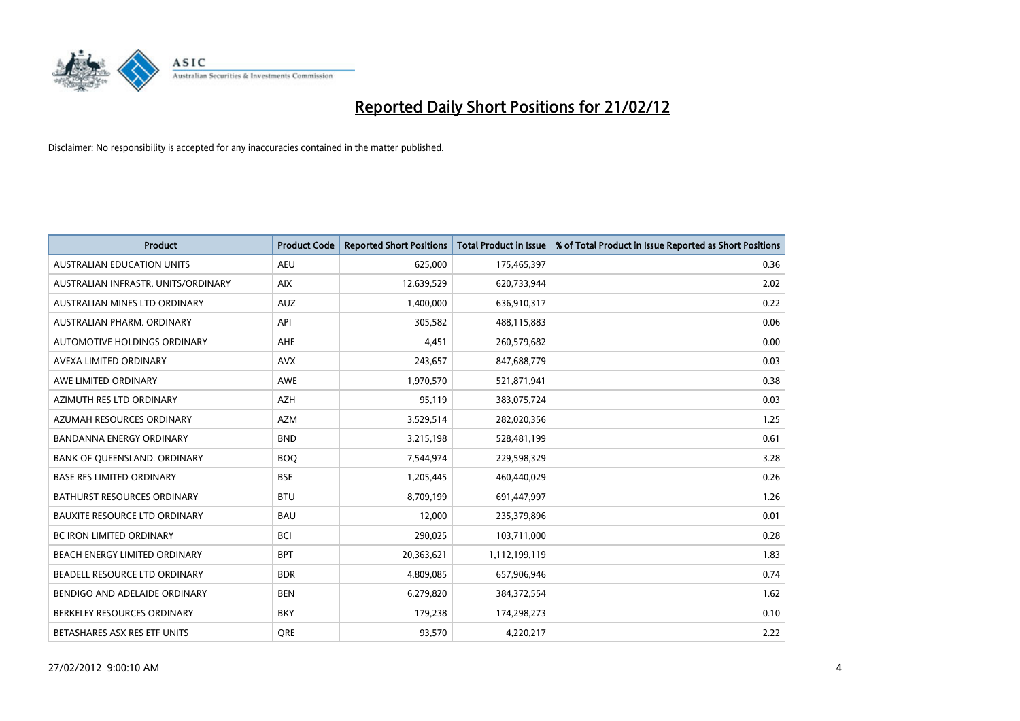

| <b>Product</b>                       | <b>Product Code</b> | <b>Reported Short Positions</b> | <b>Total Product in Issue</b> | % of Total Product in Issue Reported as Short Positions |
|--------------------------------------|---------------------|---------------------------------|-------------------------------|---------------------------------------------------------|
| <b>AUSTRALIAN EDUCATION UNITS</b>    | <b>AEU</b>          | 625,000                         | 175,465,397                   | 0.36                                                    |
| AUSTRALIAN INFRASTR, UNITS/ORDINARY  | <b>AIX</b>          | 12,639,529                      | 620,733,944                   | 2.02                                                    |
| AUSTRALIAN MINES LTD ORDINARY        | <b>AUZ</b>          | 1,400,000                       | 636,910,317                   | 0.22                                                    |
| AUSTRALIAN PHARM, ORDINARY           | API                 | 305,582                         | 488,115,883                   | 0.06                                                    |
| AUTOMOTIVE HOLDINGS ORDINARY         | AHE                 | 4,451                           | 260,579,682                   | 0.00                                                    |
| AVEXA LIMITED ORDINARY               | <b>AVX</b>          | 243,657                         | 847,688,779                   | 0.03                                                    |
| AWE LIMITED ORDINARY                 | <b>AWE</b>          | 1,970,570                       | 521,871,941                   | 0.38                                                    |
| AZIMUTH RES LTD ORDINARY             | <b>AZH</b>          | 95,119                          | 383,075,724                   | 0.03                                                    |
| AZUMAH RESOURCES ORDINARY            | <b>AZM</b>          | 3,529,514                       | 282,020,356                   | 1.25                                                    |
| <b>BANDANNA ENERGY ORDINARY</b>      | <b>BND</b>          | 3,215,198                       | 528,481,199                   | 0.61                                                    |
| BANK OF QUEENSLAND. ORDINARY         | <b>BOQ</b>          | 7,544,974                       | 229,598,329                   | 3.28                                                    |
| <b>BASE RES LIMITED ORDINARY</b>     | <b>BSE</b>          | 1,205,445                       | 460,440,029                   | 0.26                                                    |
| BATHURST RESOURCES ORDINARY          | <b>BTU</b>          | 8,709,199                       | 691,447,997                   | 1.26                                                    |
| <b>BAUXITE RESOURCE LTD ORDINARY</b> | <b>BAU</b>          | 12,000                          | 235,379,896                   | 0.01                                                    |
| <b>BC IRON LIMITED ORDINARY</b>      | <b>BCI</b>          | 290,025                         | 103,711,000                   | 0.28                                                    |
| BEACH ENERGY LIMITED ORDINARY        | <b>BPT</b>          | 20,363,621                      | 1,112,199,119                 | 1.83                                                    |
| BEADELL RESOURCE LTD ORDINARY        | <b>BDR</b>          | 4,809,085                       | 657,906,946                   | 0.74                                                    |
| BENDIGO AND ADELAIDE ORDINARY        | <b>BEN</b>          | 6,279,820                       | 384, 372, 554                 | 1.62                                                    |
| BERKELEY RESOURCES ORDINARY          | <b>BKY</b>          | 179,238                         | 174,298,273                   | 0.10                                                    |
| BETASHARES ASX RES ETF UNITS         | <b>ORE</b>          | 93,570                          | 4,220,217                     | 2.22                                                    |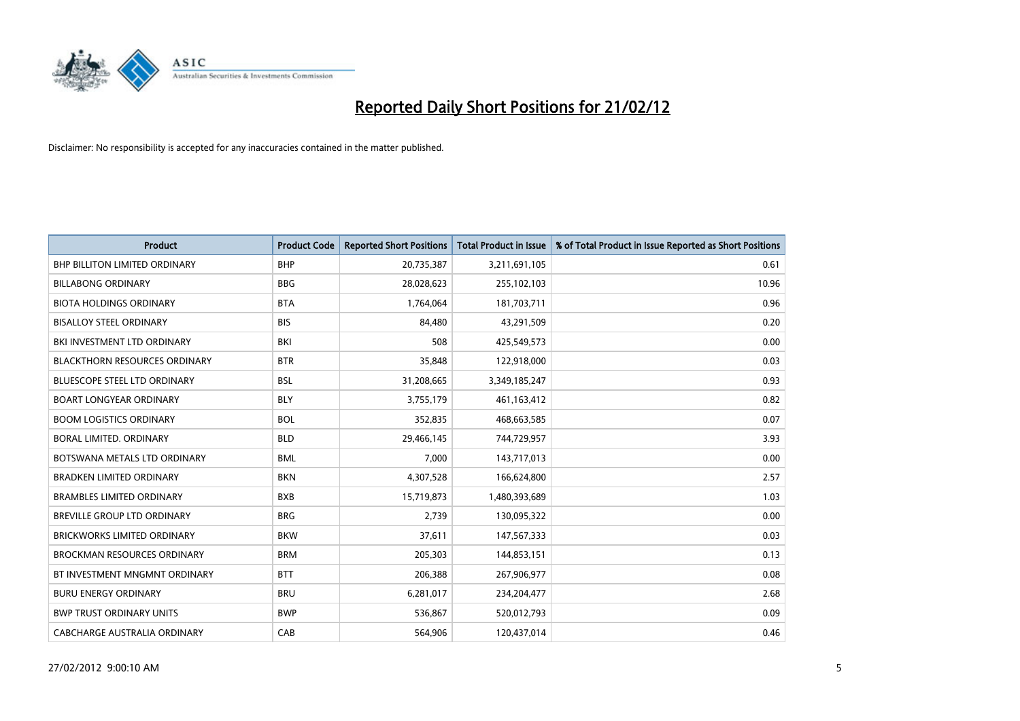

| <b>Product</b>                       | <b>Product Code</b> | <b>Reported Short Positions</b> | <b>Total Product in Issue</b> | % of Total Product in Issue Reported as Short Positions |
|--------------------------------------|---------------------|---------------------------------|-------------------------------|---------------------------------------------------------|
| <b>BHP BILLITON LIMITED ORDINARY</b> | <b>BHP</b>          | 20,735,387                      | 3,211,691,105                 | 0.61                                                    |
| <b>BILLABONG ORDINARY</b>            | <b>BBG</b>          | 28,028,623                      | 255,102,103                   | 10.96                                                   |
| <b>BIOTA HOLDINGS ORDINARY</b>       | <b>BTA</b>          | 1,764,064                       | 181,703,711                   | 0.96                                                    |
| <b>BISALLOY STEEL ORDINARY</b>       | <b>BIS</b>          | 84,480                          | 43,291,509                    | 0.20                                                    |
| BKI INVESTMENT LTD ORDINARY          | BKI                 | 508                             | 425,549,573                   | 0.00                                                    |
| <b>BLACKTHORN RESOURCES ORDINARY</b> | <b>BTR</b>          | 35,848                          | 122,918,000                   | 0.03                                                    |
| <b>BLUESCOPE STEEL LTD ORDINARY</b>  | BSL                 | 31,208,665                      | 3,349,185,247                 | 0.93                                                    |
| <b>BOART LONGYEAR ORDINARY</b>       | <b>BLY</b>          | 3,755,179                       | 461,163,412                   | 0.82                                                    |
| <b>BOOM LOGISTICS ORDINARY</b>       | <b>BOL</b>          | 352,835                         | 468,663,585                   | 0.07                                                    |
| <b>BORAL LIMITED, ORDINARY</b>       | <b>BLD</b>          | 29,466,145                      | 744,729,957                   | 3.93                                                    |
| BOTSWANA METALS LTD ORDINARY         | <b>BML</b>          | 7,000                           | 143,717,013                   | 0.00                                                    |
| <b>BRADKEN LIMITED ORDINARY</b>      | <b>BKN</b>          | 4,307,528                       | 166,624,800                   | 2.57                                                    |
| <b>BRAMBLES LIMITED ORDINARY</b>     | <b>BXB</b>          | 15,719,873                      | 1,480,393,689                 | 1.03                                                    |
| BREVILLE GROUP LTD ORDINARY          | <b>BRG</b>          | 2,739                           | 130,095,322                   | 0.00                                                    |
| <b>BRICKWORKS LIMITED ORDINARY</b>   | <b>BKW</b>          | 37,611                          | 147,567,333                   | 0.03                                                    |
| <b>BROCKMAN RESOURCES ORDINARY</b>   | <b>BRM</b>          | 205,303                         | 144,853,151                   | 0.13                                                    |
| BT INVESTMENT MNGMNT ORDINARY        | <b>BTT</b>          | 206,388                         | 267,906,977                   | 0.08                                                    |
| <b>BURU ENERGY ORDINARY</b>          | <b>BRU</b>          | 6,281,017                       | 234,204,477                   | 2.68                                                    |
| <b>BWP TRUST ORDINARY UNITS</b>      | <b>BWP</b>          | 536,867                         | 520,012,793                   | 0.09                                                    |
| CABCHARGE AUSTRALIA ORDINARY         | CAB                 | 564,906                         | 120,437,014                   | 0.46                                                    |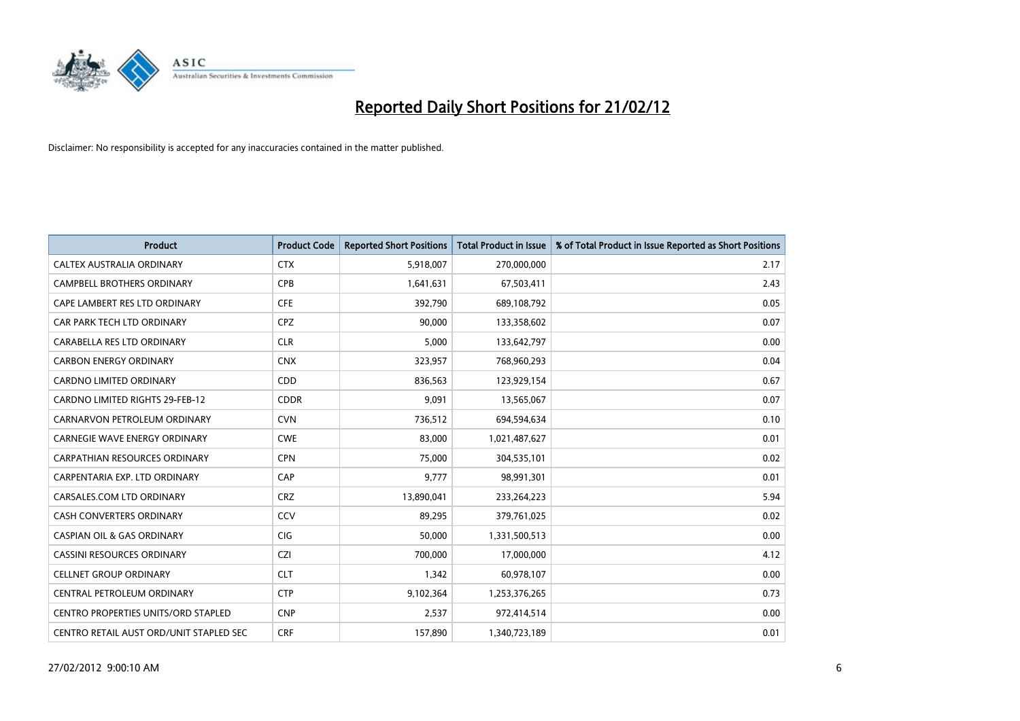

| <b>Product</b>                             | <b>Product Code</b> | <b>Reported Short Positions</b> | <b>Total Product in Issue</b> | % of Total Product in Issue Reported as Short Positions |
|--------------------------------------------|---------------------|---------------------------------|-------------------------------|---------------------------------------------------------|
| CALTEX AUSTRALIA ORDINARY                  | <b>CTX</b>          | 5,918,007                       | 270,000,000                   | 2.17                                                    |
| <b>CAMPBELL BROTHERS ORDINARY</b>          | <b>CPB</b>          | 1,641,631                       | 67,503,411                    | 2.43                                                    |
| CAPE LAMBERT RES LTD ORDINARY              | <b>CFE</b>          | 392,790                         | 689,108,792                   | 0.05                                                    |
| CAR PARK TECH LTD ORDINARY                 | <b>CPZ</b>          | 90,000                          | 133,358,602                   | 0.07                                                    |
| CARABELLA RES LTD ORDINARY                 | <b>CLR</b>          | 5,000                           | 133,642,797                   | 0.00                                                    |
| <b>CARBON ENERGY ORDINARY</b>              | <b>CNX</b>          | 323,957                         | 768,960,293                   | 0.04                                                    |
| <b>CARDNO LIMITED ORDINARY</b>             | CDD                 | 836,563                         | 123,929,154                   | 0.67                                                    |
| CARDNO LIMITED RIGHTS 29-FEB-12            | <b>CDDR</b>         | 9,091                           | 13,565,067                    | 0.07                                                    |
| CARNARVON PETROLEUM ORDINARY               | <b>CVN</b>          | 736,512                         | 694,594,634                   | 0.10                                                    |
| <b>CARNEGIE WAVE ENERGY ORDINARY</b>       | <b>CWE</b>          | 83,000                          | 1,021,487,627                 | 0.01                                                    |
| CARPATHIAN RESOURCES ORDINARY              | <b>CPN</b>          | 75,000                          | 304,535,101                   | 0.02                                                    |
| CARPENTARIA EXP. LTD ORDINARY              | CAP                 | 9,777                           | 98,991,301                    | 0.01                                                    |
| CARSALES.COM LTD ORDINARY                  | <b>CRZ</b>          | 13,890,041                      | 233,264,223                   | 5.94                                                    |
| <b>CASH CONVERTERS ORDINARY</b>            | CCV                 | 89,295                          | 379,761,025                   | 0.02                                                    |
| <b>CASPIAN OIL &amp; GAS ORDINARY</b>      | CIG                 | 50,000                          | 1,331,500,513                 | 0.00                                                    |
| CASSINI RESOURCES ORDINARY                 | <b>CZI</b>          | 700,000                         | 17,000,000                    | 4.12                                                    |
| <b>CELLNET GROUP ORDINARY</b>              | <b>CLT</b>          | 1,342                           | 60,978,107                    | 0.00                                                    |
| CENTRAL PETROLEUM ORDINARY                 | <b>CTP</b>          | 9,102,364                       | 1,253,376,265                 | 0.73                                                    |
| <b>CENTRO PROPERTIES UNITS/ORD STAPLED</b> | <b>CNP</b>          | 2,537                           | 972,414,514                   | 0.00                                                    |
| CENTRO RETAIL AUST ORD/UNIT STAPLED SEC    | <b>CRF</b>          | 157,890                         | 1,340,723,189                 | 0.01                                                    |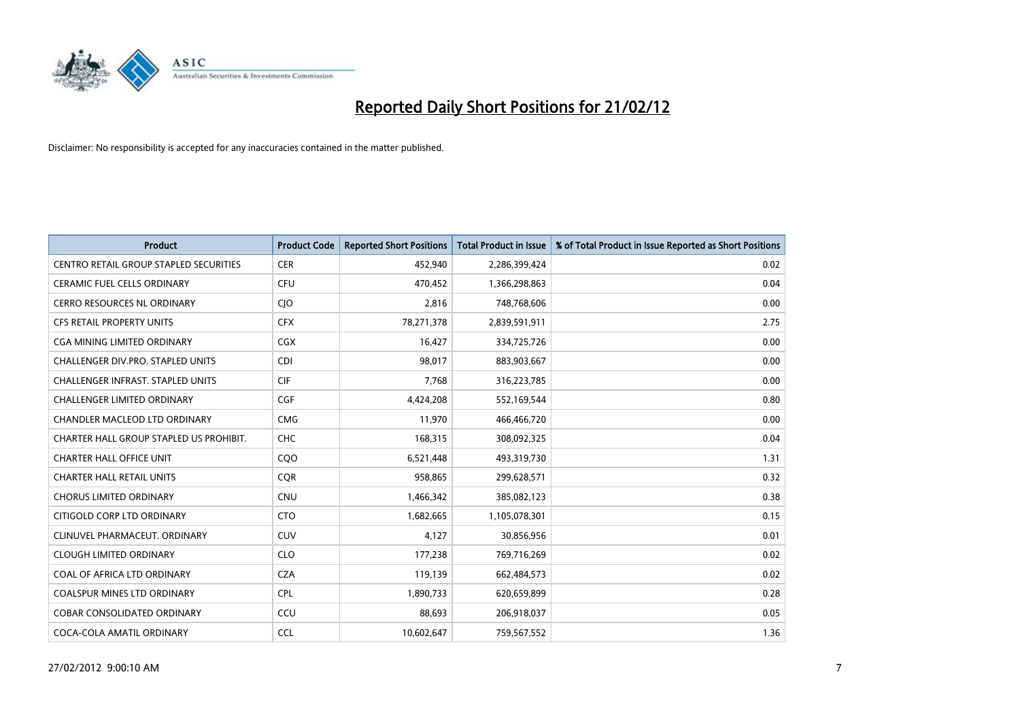

| <b>Product</b>                                | <b>Product Code</b> | <b>Reported Short Positions</b> | <b>Total Product in Issue</b> | % of Total Product in Issue Reported as Short Positions |
|-----------------------------------------------|---------------------|---------------------------------|-------------------------------|---------------------------------------------------------|
| <b>CENTRO RETAIL GROUP STAPLED SECURITIES</b> | <b>CER</b>          | 452,940                         | 2,286,399,424                 | 0.02                                                    |
| CERAMIC FUEL CELLS ORDINARY                   | <b>CFU</b>          | 470,452                         | 1,366,298,863                 | 0.04                                                    |
| <b>CERRO RESOURCES NL ORDINARY</b>            | CJO                 | 2,816                           | 748,768,606                   | 0.00                                                    |
| CFS RETAIL PROPERTY UNITS                     | <b>CFX</b>          | 78,271,378                      | 2,839,591,911                 | 2.75                                                    |
| <b>CGA MINING LIMITED ORDINARY</b>            | <b>CGX</b>          | 16,427                          | 334,725,726                   | 0.00                                                    |
| CHALLENGER DIV.PRO. STAPLED UNITS             | <b>CDI</b>          | 98,017                          | 883,903,667                   | 0.00                                                    |
| <b>CHALLENGER INFRAST. STAPLED UNITS</b>      | <b>CIF</b>          | 7,768                           | 316,223,785                   | 0.00                                                    |
| CHALLENGER LIMITED ORDINARY                   | <b>CGF</b>          | 4,424,208                       | 552,169,544                   | 0.80                                                    |
| CHANDLER MACLEOD LTD ORDINARY                 | <b>CMG</b>          | 11,970                          | 466,466,720                   | 0.00                                                    |
| CHARTER HALL GROUP STAPLED US PROHIBIT.       | <b>CHC</b>          | 168,315                         | 308,092,325                   | 0.04                                                    |
| <b>CHARTER HALL OFFICE UNIT</b>               | C <sub>O</sub> O    | 6,521,448                       | 493,319,730                   | 1.31                                                    |
| <b>CHARTER HALL RETAIL UNITS</b>              | <b>CQR</b>          | 958,865                         | 299,628,571                   | 0.32                                                    |
| <b>CHORUS LIMITED ORDINARY</b>                | <b>CNU</b>          | 1,466,342                       | 385,082,123                   | 0.38                                                    |
| CITIGOLD CORP LTD ORDINARY                    | <b>CTO</b>          | 1,682,665                       | 1,105,078,301                 | 0.15                                                    |
| CLINUVEL PHARMACEUT, ORDINARY                 | CUV                 | 4,127                           | 30,856,956                    | 0.01                                                    |
| <b>CLOUGH LIMITED ORDINARY</b>                | <b>CLO</b>          | 177,238                         | 769,716,269                   | 0.02                                                    |
| COAL OF AFRICA LTD ORDINARY                   | <b>CZA</b>          | 119,139                         | 662,484,573                   | 0.02                                                    |
| COALSPUR MINES LTD ORDINARY                   | <b>CPL</b>          | 1,890,733                       | 620,659,899                   | 0.28                                                    |
| <b>COBAR CONSOLIDATED ORDINARY</b>            | CCU                 | 88,693                          | 206,918,037                   | 0.05                                                    |
| COCA-COLA AMATIL ORDINARY                     | <b>CCL</b>          | 10,602,647                      | 759,567,552                   | 1.36                                                    |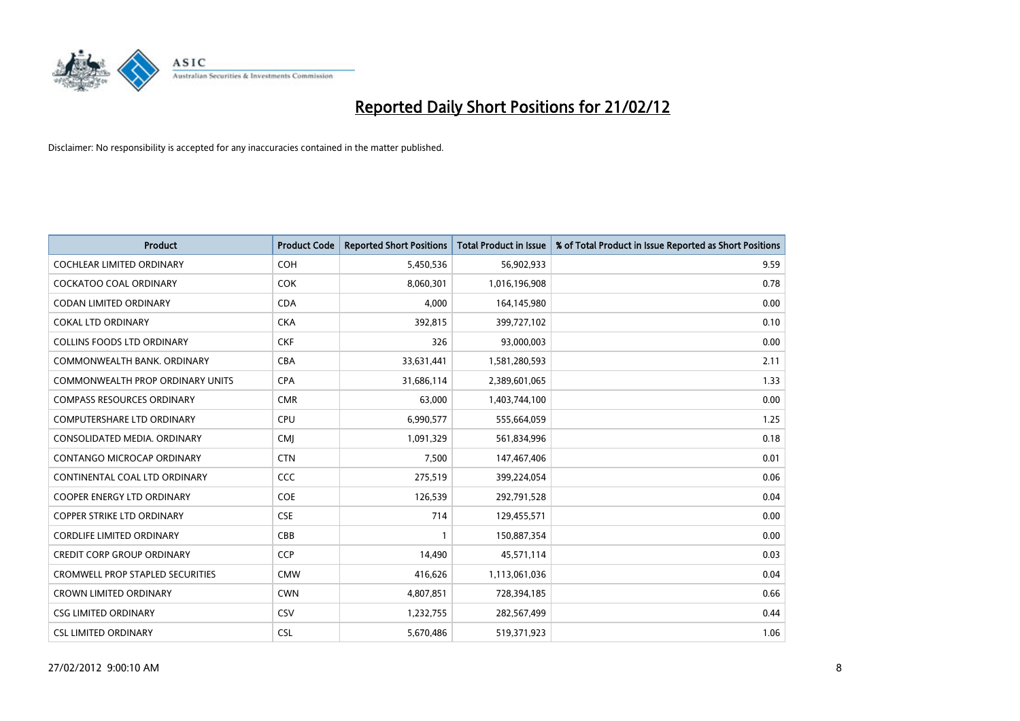

| <b>Product</b>                          | <b>Product Code</b> | <b>Reported Short Positions</b> | <b>Total Product in Issue</b> | % of Total Product in Issue Reported as Short Positions |
|-----------------------------------------|---------------------|---------------------------------|-------------------------------|---------------------------------------------------------|
| <b>COCHLEAR LIMITED ORDINARY</b>        | <b>COH</b>          | 5,450,536                       | 56,902,933                    | 9.59                                                    |
| COCKATOO COAL ORDINARY                  | <b>COK</b>          | 8,060,301                       | 1,016,196,908                 | 0.78                                                    |
| <b>CODAN LIMITED ORDINARY</b>           | <b>CDA</b>          | 4,000                           | 164,145,980                   | 0.00                                                    |
| <b>COKAL LTD ORDINARY</b>               | <b>CKA</b>          | 392,815                         | 399,727,102                   | 0.10                                                    |
| <b>COLLINS FOODS LTD ORDINARY</b>       | <b>CKF</b>          | 326                             | 93,000,003                    | 0.00                                                    |
| COMMONWEALTH BANK, ORDINARY             | <b>CBA</b>          | 33,631,441                      | 1,581,280,593                 | 2.11                                                    |
| <b>COMMONWEALTH PROP ORDINARY UNITS</b> | <b>CPA</b>          | 31,686,114                      | 2,389,601,065                 | 1.33                                                    |
| <b>COMPASS RESOURCES ORDINARY</b>       | <b>CMR</b>          | 63,000                          | 1,403,744,100                 | 0.00                                                    |
| <b>COMPUTERSHARE LTD ORDINARY</b>       | <b>CPU</b>          | 6,990,577                       | 555,664,059                   | 1.25                                                    |
| CONSOLIDATED MEDIA, ORDINARY            | <b>CMI</b>          | 1,091,329                       | 561,834,996                   | 0.18                                                    |
| CONTANGO MICROCAP ORDINARY              | <b>CTN</b>          | 7,500                           | 147,467,406                   | 0.01                                                    |
| CONTINENTAL COAL LTD ORDINARY           | CCC                 | 275,519                         | 399,224,054                   | 0.06                                                    |
| COOPER ENERGY LTD ORDINARY              | <b>COE</b>          | 126,539                         | 292,791,528                   | 0.04                                                    |
| <b>COPPER STRIKE LTD ORDINARY</b>       | <b>CSE</b>          | 714                             | 129,455,571                   | 0.00                                                    |
| <b>CORDLIFE LIMITED ORDINARY</b>        | CBB                 | $\mathbf{1}$                    | 150,887,354                   | 0.00                                                    |
| <b>CREDIT CORP GROUP ORDINARY</b>       | <b>CCP</b>          | 14,490                          | 45,571,114                    | 0.03                                                    |
| <b>CROMWELL PROP STAPLED SECURITIES</b> | <b>CMW</b>          | 416,626                         | 1,113,061,036                 | 0.04                                                    |
| <b>CROWN LIMITED ORDINARY</b>           | <b>CWN</b>          | 4,807,851                       | 728,394,185                   | 0.66                                                    |
| <b>CSG LIMITED ORDINARY</b>             | CSV                 | 1,232,755                       | 282,567,499                   | 0.44                                                    |
| <b>CSL LIMITED ORDINARY</b>             | <b>CSL</b>          | 5,670,486                       | 519,371,923                   | 1.06                                                    |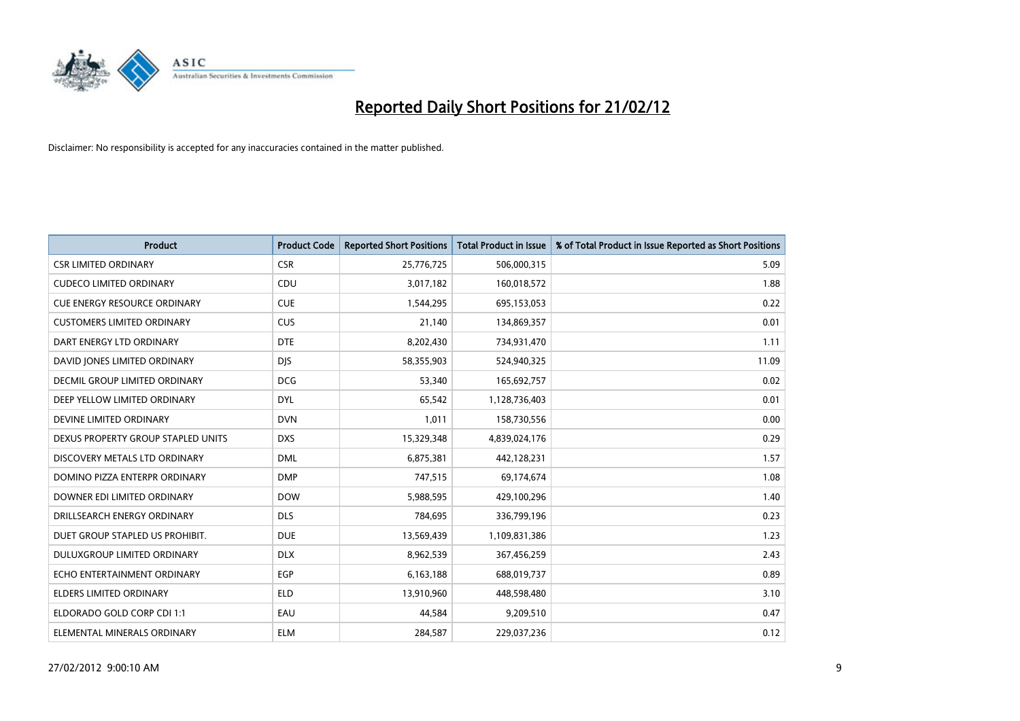

| <b>Product</b>                       | <b>Product Code</b> | <b>Reported Short Positions</b> | <b>Total Product in Issue</b> | % of Total Product in Issue Reported as Short Positions |
|--------------------------------------|---------------------|---------------------------------|-------------------------------|---------------------------------------------------------|
| <b>CSR LIMITED ORDINARY</b>          | <b>CSR</b>          | 25,776,725                      | 506,000,315                   | 5.09                                                    |
| <b>CUDECO LIMITED ORDINARY</b>       | CDU                 | 3,017,182                       | 160,018,572                   | 1.88                                                    |
| <b>CUE ENERGY RESOURCE ORDINARY</b>  | <b>CUE</b>          | 1,544,295                       | 695,153,053                   | 0.22                                                    |
| <b>CUSTOMERS LIMITED ORDINARY</b>    | <b>CUS</b>          | 21,140                          | 134,869,357                   | 0.01                                                    |
| DART ENERGY LTD ORDINARY             | <b>DTE</b>          | 8,202,430                       | 734,931,470                   | 1.11                                                    |
| DAVID JONES LIMITED ORDINARY         | <b>DJS</b>          | 58,355,903                      | 524,940,325                   | 11.09                                                   |
| <b>DECMIL GROUP LIMITED ORDINARY</b> | <b>DCG</b>          | 53,340                          | 165,692,757                   | 0.02                                                    |
| DEEP YELLOW LIMITED ORDINARY         | <b>DYL</b>          | 65,542                          | 1,128,736,403                 | 0.01                                                    |
| DEVINE LIMITED ORDINARY              | <b>DVN</b>          | 1,011                           | 158,730,556                   | 0.00                                                    |
| DEXUS PROPERTY GROUP STAPLED UNITS   | <b>DXS</b>          | 15,329,348                      | 4,839,024,176                 | 0.29                                                    |
| DISCOVERY METALS LTD ORDINARY        | <b>DML</b>          | 6,875,381                       | 442,128,231                   | 1.57                                                    |
| DOMINO PIZZA ENTERPR ORDINARY        | <b>DMP</b>          | 747,515                         | 69,174,674                    | 1.08                                                    |
| DOWNER EDI LIMITED ORDINARY          | <b>DOW</b>          | 5,988,595                       | 429,100,296                   | 1.40                                                    |
| DRILLSEARCH ENERGY ORDINARY          | <b>DLS</b>          | 784,695                         | 336,799,196                   | 0.23                                                    |
| DUET GROUP STAPLED US PROHIBIT.      | <b>DUE</b>          | 13,569,439                      | 1,109,831,386                 | 1.23                                                    |
| <b>DULUXGROUP LIMITED ORDINARY</b>   | <b>DLX</b>          | 8,962,539                       | 367,456,259                   | 2.43                                                    |
| ECHO ENTERTAINMENT ORDINARY          | <b>EGP</b>          | 6,163,188                       | 688,019,737                   | 0.89                                                    |
| <b>ELDERS LIMITED ORDINARY</b>       | <b>ELD</b>          | 13,910,960                      | 448,598,480                   | 3.10                                                    |
| ELDORADO GOLD CORP CDI 1:1           | EAU                 | 44,584                          | 9,209,510                     | 0.47                                                    |
| ELEMENTAL MINERALS ORDINARY          | <b>ELM</b>          | 284,587                         | 229,037,236                   | 0.12                                                    |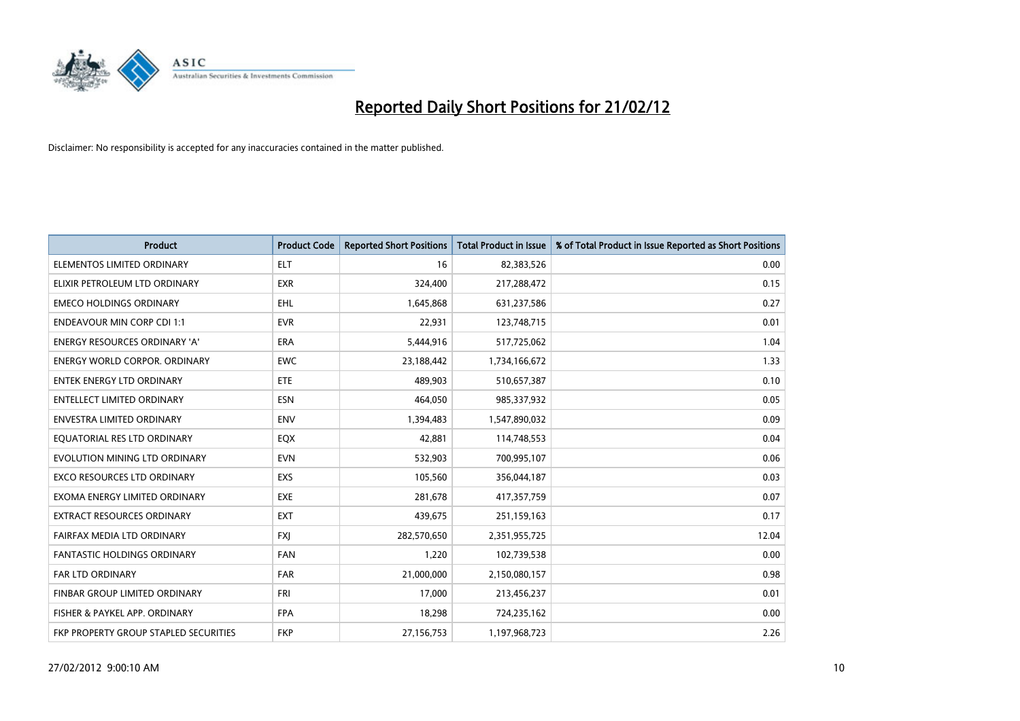

| Product                               | <b>Product Code</b> | <b>Reported Short Positions</b> | <b>Total Product in Issue</b> | % of Total Product in Issue Reported as Short Positions |
|---------------------------------------|---------------------|---------------------------------|-------------------------------|---------------------------------------------------------|
| ELEMENTOS LIMITED ORDINARY            | <b>ELT</b>          | 16                              | 82,383,526                    | 0.00                                                    |
| ELIXIR PETROLEUM LTD ORDINARY         | <b>EXR</b>          | 324,400                         | 217,288,472                   | 0.15                                                    |
| <b>EMECO HOLDINGS ORDINARY</b>        | <b>EHL</b>          | 1,645,868                       | 631,237,586                   | 0.27                                                    |
| <b>ENDEAVOUR MIN CORP CDI 1:1</b>     | <b>EVR</b>          | 22,931                          | 123,748,715                   | 0.01                                                    |
| <b>ENERGY RESOURCES ORDINARY 'A'</b>  | <b>ERA</b>          | 5,444,916                       | 517,725,062                   | 1.04                                                    |
| <b>ENERGY WORLD CORPOR, ORDINARY</b>  | EWC                 | 23,188,442                      | 1,734,166,672                 | 1.33                                                    |
| <b>ENTEK ENERGY LTD ORDINARY</b>      | <b>ETE</b>          | 489,903                         | 510,657,387                   | 0.10                                                    |
| ENTELLECT LIMITED ORDINARY            | <b>ESN</b>          | 464,050                         | 985,337,932                   | 0.05                                                    |
| <b>ENVESTRA LIMITED ORDINARY</b>      | <b>ENV</b>          | 1,394,483                       | 1,547,890,032                 | 0.09                                                    |
| EQUATORIAL RES LTD ORDINARY           | EQX                 | 42,881                          | 114,748,553                   | 0.04                                                    |
| EVOLUTION MINING LTD ORDINARY         | <b>EVN</b>          | 532,903                         | 700,995,107                   | 0.06                                                    |
| <b>EXCO RESOURCES LTD ORDINARY</b>    | <b>EXS</b>          | 105,560                         | 356,044,187                   | 0.03                                                    |
| EXOMA ENERGY LIMITED ORDINARY         | <b>EXE</b>          | 281,678                         | 417,357,759                   | 0.07                                                    |
| <b>EXTRACT RESOURCES ORDINARY</b>     | <b>EXT</b>          | 439,675                         | 251,159,163                   | 0.17                                                    |
| FAIRFAX MEDIA LTD ORDINARY            | <b>FXI</b>          | 282,570,650                     | 2,351,955,725                 | 12.04                                                   |
| <b>FANTASTIC HOLDINGS ORDINARY</b>    | <b>FAN</b>          | 1,220                           | 102,739,538                   | 0.00                                                    |
| FAR LTD ORDINARY                      | <b>FAR</b>          | 21,000,000                      | 2,150,080,157                 | 0.98                                                    |
| FINBAR GROUP LIMITED ORDINARY         | <b>FRI</b>          | 17,000                          | 213,456,237                   | 0.01                                                    |
| FISHER & PAYKEL APP. ORDINARY         | <b>FPA</b>          | 18,298                          | 724,235,162                   | 0.00                                                    |
| FKP PROPERTY GROUP STAPLED SECURITIES | <b>FKP</b>          | 27,156,753                      | 1,197,968,723                 | 2.26                                                    |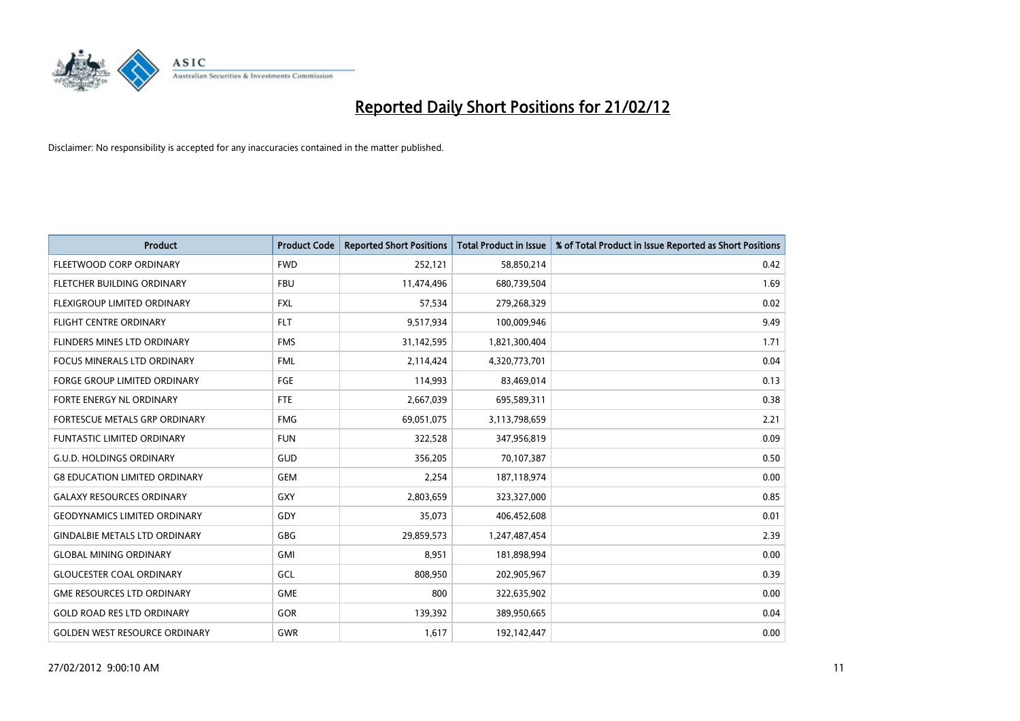

| <b>Product</b>                       | <b>Product Code</b> | <b>Reported Short Positions</b> | <b>Total Product in Issue</b> | % of Total Product in Issue Reported as Short Positions |
|--------------------------------------|---------------------|---------------------------------|-------------------------------|---------------------------------------------------------|
| FLEETWOOD CORP ORDINARY              | <b>FWD</b>          | 252,121                         | 58,850,214                    | 0.42                                                    |
| FLETCHER BUILDING ORDINARY           | <b>FBU</b>          | 11,474,496                      | 680,739,504                   | 1.69                                                    |
| FLEXIGROUP LIMITED ORDINARY          | FXL                 | 57,534                          | 279,268,329                   | 0.02                                                    |
| FLIGHT CENTRE ORDINARY               | <b>FLT</b>          | 9,517,934                       | 100,009,946                   | 9.49                                                    |
| FLINDERS MINES LTD ORDINARY          | <b>FMS</b>          | 31,142,595                      | 1,821,300,404                 | 1.71                                                    |
| FOCUS MINERALS LTD ORDINARY          | <b>FML</b>          | 2,114,424                       | 4,320,773,701                 | 0.04                                                    |
| <b>FORGE GROUP LIMITED ORDINARY</b>  | FGE                 | 114,993                         | 83,469,014                    | 0.13                                                    |
| FORTE ENERGY NL ORDINARY             | <b>FTE</b>          | 2,667,039                       | 695,589,311                   | 0.38                                                    |
| FORTESCUE METALS GRP ORDINARY        | <b>FMG</b>          | 69,051,075                      | 3,113,798,659                 | 2.21                                                    |
| <b>FUNTASTIC LIMITED ORDINARY</b>    | <b>FUN</b>          | 322,528                         | 347,956,819                   | 0.09                                                    |
| <b>G.U.D. HOLDINGS ORDINARY</b>      | GUD                 | 356,205                         | 70,107,387                    | 0.50                                                    |
| <b>G8 EDUCATION LIMITED ORDINARY</b> | <b>GEM</b>          | 2,254                           | 187,118,974                   | 0.00                                                    |
| <b>GALAXY RESOURCES ORDINARY</b>     | <b>GXY</b>          | 2,803,659                       | 323,327,000                   | 0.85                                                    |
| <b>GEODYNAMICS LIMITED ORDINARY</b>  | GDY                 | 35,073                          | 406,452,608                   | 0.01                                                    |
| <b>GINDALBIE METALS LTD ORDINARY</b> | GBG                 | 29,859,573                      | 1,247,487,454                 | 2.39                                                    |
| <b>GLOBAL MINING ORDINARY</b>        | GMI                 | 8,951                           | 181,898,994                   | 0.00                                                    |
| <b>GLOUCESTER COAL ORDINARY</b>      | GCL                 | 808,950                         | 202,905,967                   | 0.39                                                    |
| <b>GME RESOURCES LTD ORDINARY</b>    | <b>GME</b>          | 800                             | 322,635,902                   | 0.00                                                    |
| <b>GOLD ROAD RES LTD ORDINARY</b>    | GOR                 | 139,392                         | 389,950,665                   | 0.04                                                    |
| <b>GOLDEN WEST RESOURCE ORDINARY</b> | <b>GWR</b>          | 1,617                           | 192,142,447                   | 0.00                                                    |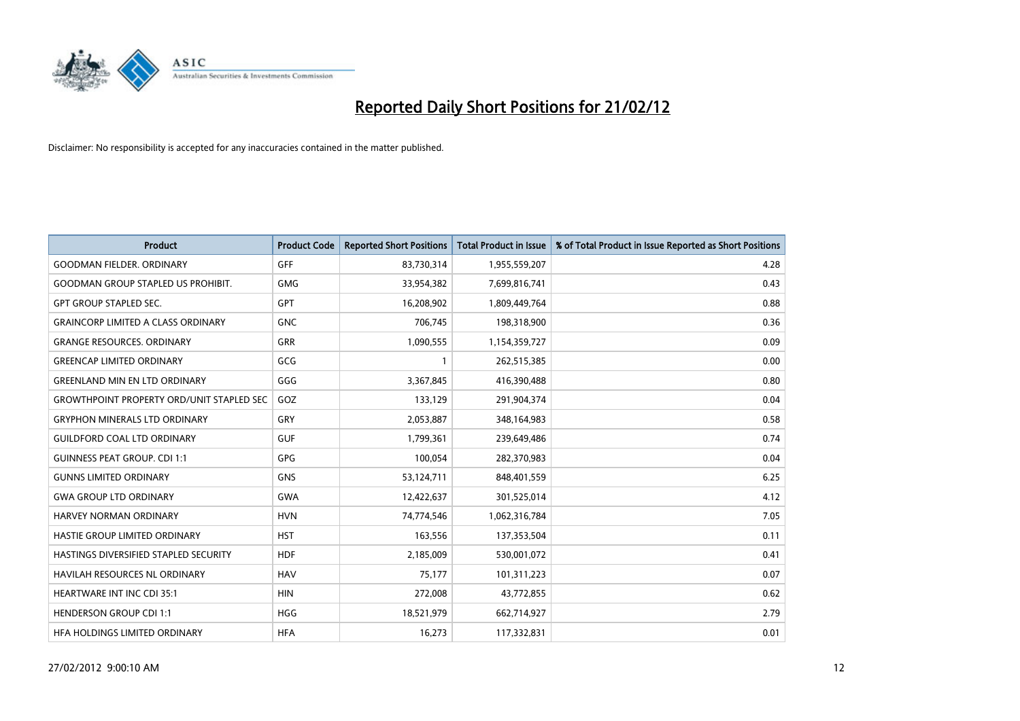

| <b>Product</b>                                   | <b>Product Code</b> | <b>Reported Short Positions</b> | <b>Total Product in Issue</b> | % of Total Product in Issue Reported as Short Positions |
|--------------------------------------------------|---------------------|---------------------------------|-------------------------------|---------------------------------------------------------|
| <b>GOODMAN FIELDER, ORDINARY</b>                 | GFF                 | 83,730,314                      | 1,955,559,207                 | 4.28                                                    |
| <b>GOODMAN GROUP STAPLED US PROHIBIT.</b>        | <b>GMG</b>          | 33,954,382                      | 7,699,816,741                 | 0.43                                                    |
| <b>GPT GROUP STAPLED SEC.</b>                    | <b>GPT</b>          | 16,208,902                      | 1,809,449,764                 | 0.88                                                    |
| <b>GRAINCORP LIMITED A CLASS ORDINARY</b>        | <b>GNC</b>          | 706,745                         | 198,318,900                   | 0.36                                                    |
| <b>GRANGE RESOURCES, ORDINARY</b>                | <b>GRR</b>          | 1,090,555                       | 1,154,359,727                 | 0.09                                                    |
| <b>GREENCAP LIMITED ORDINARY</b>                 | GCG                 | $\mathbf{1}$                    | 262,515,385                   | 0.00                                                    |
| <b>GREENLAND MIN EN LTD ORDINARY</b>             | GGG                 | 3,367,845                       | 416,390,488                   | 0.80                                                    |
| <b>GROWTHPOINT PROPERTY ORD/UNIT STAPLED SEC</b> | GOZ                 | 133,129                         | 291,904,374                   | 0.04                                                    |
| <b>GRYPHON MINERALS LTD ORDINARY</b>             | GRY                 | 2,053,887                       | 348,164,983                   | 0.58                                                    |
| <b>GUILDFORD COAL LTD ORDINARY</b>               | <b>GUF</b>          | 1,799,361                       | 239,649,486                   | 0.74                                                    |
| <b>GUINNESS PEAT GROUP. CDI 1:1</b>              | <b>GPG</b>          | 100,054                         | 282,370,983                   | 0.04                                                    |
| <b>GUNNS LIMITED ORDINARY</b>                    | <b>GNS</b>          | 53,124,711                      | 848,401,559                   | 6.25                                                    |
| <b>GWA GROUP LTD ORDINARY</b>                    | <b>GWA</b>          | 12,422,637                      | 301,525,014                   | 4.12                                                    |
| HARVEY NORMAN ORDINARY                           | <b>HVN</b>          | 74,774,546                      | 1,062,316,784                 | 7.05                                                    |
| HASTIE GROUP LIMITED ORDINARY                    | <b>HST</b>          | 163,556                         | 137,353,504                   | 0.11                                                    |
| HASTINGS DIVERSIFIED STAPLED SECURITY            | <b>HDF</b>          | 2,185,009                       | 530,001,072                   | 0.41                                                    |
| <b>HAVILAH RESOURCES NL ORDINARY</b>             | <b>HAV</b>          | 75,177                          | 101,311,223                   | 0.07                                                    |
| <b>HEARTWARE INT INC CDI 35:1</b>                | <b>HIN</b>          | 272,008                         | 43,772,855                    | 0.62                                                    |
| <b>HENDERSON GROUP CDI 1:1</b>                   | <b>HGG</b>          | 18,521,979                      | 662,714,927                   | 2.79                                                    |
| HFA HOLDINGS LIMITED ORDINARY                    | <b>HFA</b>          | 16,273                          | 117,332,831                   | 0.01                                                    |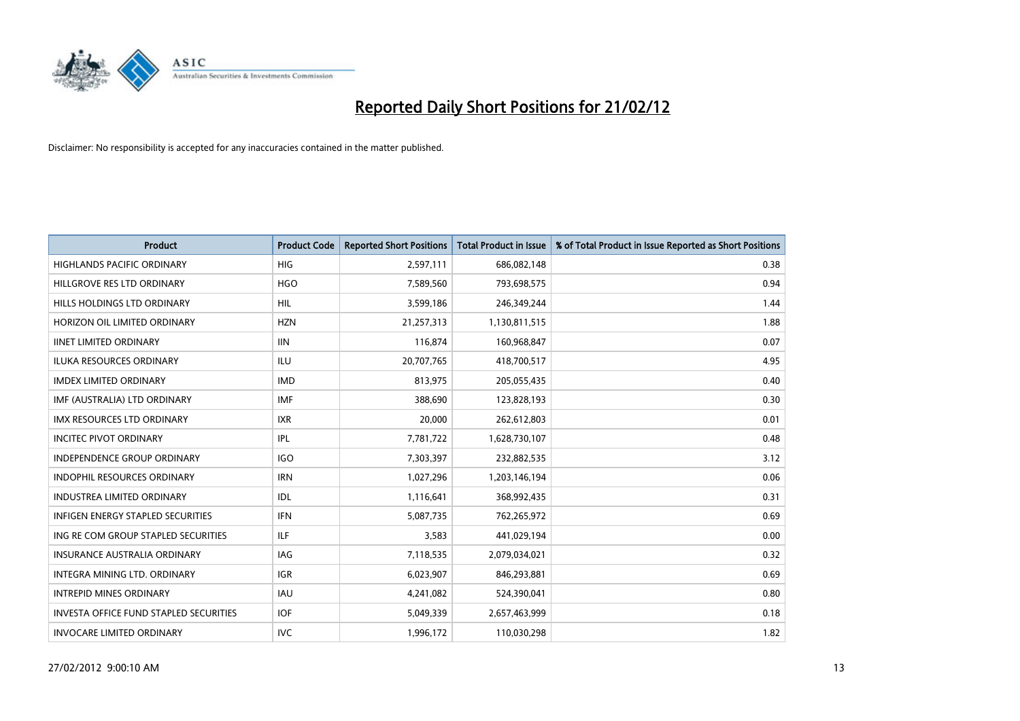

| <b>Product</b>                                | <b>Product Code</b> | <b>Reported Short Positions</b> | <b>Total Product in Issue</b> | % of Total Product in Issue Reported as Short Positions |
|-----------------------------------------------|---------------------|---------------------------------|-------------------------------|---------------------------------------------------------|
| <b>HIGHLANDS PACIFIC ORDINARY</b>             | <b>HIG</b>          | 2,597,111                       | 686,082,148                   | 0.38                                                    |
| HILLGROVE RES LTD ORDINARY                    | <b>HGO</b>          | 7,589,560                       | 793,698,575                   | 0.94                                                    |
| HILLS HOLDINGS LTD ORDINARY                   | <b>HIL</b>          | 3,599,186                       | 246,349,244                   | 1.44                                                    |
| HORIZON OIL LIMITED ORDINARY                  | <b>HZN</b>          | 21,257,313                      | 1,130,811,515                 | 1.88                                                    |
| <b>IINET LIMITED ORDINARY</b>                 | <b>IIN</b>          | 116,874                         | 160,968,847                   | 0.07                                                    |
| <b>ILUKA RESOURCES ORDINARY</b>               | ILU                 | 20,707,765                      | 418,700,517                   | 4.95                                                    |
| <b>IMDEX LIMITED ORDINARY</b>                 | <b>IMD</b>          | 813,975                         | 205,055,435                   | 0.40                                                    |
| IMF (AUSTRALIA) LTD ORDINARY                  | <b>IMF</b>          | 388,690                         | 123,828,193                   | 0.30                                                    |
| <b>IMX RESOURCES LTD ORDINARY</b>             | <b>IXR</b>          | 20,000                          | 262,612,803                   | 0.01                                                    |
| <b>INCITEC PIVOT ORDINARY</b>                 | IPL                 | 7,781,722                       | 1,628,730,107                 | 0.48                                                    |
| INDEPENDENCE GROUP ORDINARY                   | <b>IGO</b>          | 7,303,397                       | 232,882,535                   | 3.12                                                    |
| <b>INDOPHIL RESOURCES ORDINARY</b>            | <b>IRN</b>          | 1,027,296                       | 1,203,146,194                 | 0.06                                                    |
| <b>INDUSTREA LIMITED ORDINARY</b>             | <b>IDL</b>          | 1,116,641                       | 368,992,435                   | 0.31                                                    |
| <b>INFIGEN ENERGY STAPLED SECURITIES</b>      | <b>IFN</b>          | 5,087,735                       | 762,265,972                   | 0.69                                                    |
| ING RE COM GROUP STAPLED SECURITIES           | ILF.                | 3,583                           | 441,029,194                   | 0.00                                                    |
| INSURANCE AUSTRALIA ORDINARY                  | IAG                 | 7,118,535                       | 2,079,034,021                 | 0.32                                                    |
| INTEGRA MINING LTD. ORDINARY                  | IGR                 | 6,023,907                       | 846,293,881                   | 0.69                                                    |
| <b>INTREPID MINES ORDINARY</b>                | <b>IAU</b>          | 4,241,082                       | 524,390,041                   | 0.80                                                    |
| <b>INVESTA OFFICE FUND STAPLED SECURITIES</b> | <b>IOF</b>          | 5,049,339                       | 2,657,463,999                 | 0.18                                                    |
| <b>INVOCARE LIMITED ORDINARY</b>              | <b>IVC</b>          | 1,996,172                       | 110,030,298                   | 1.82                                                    |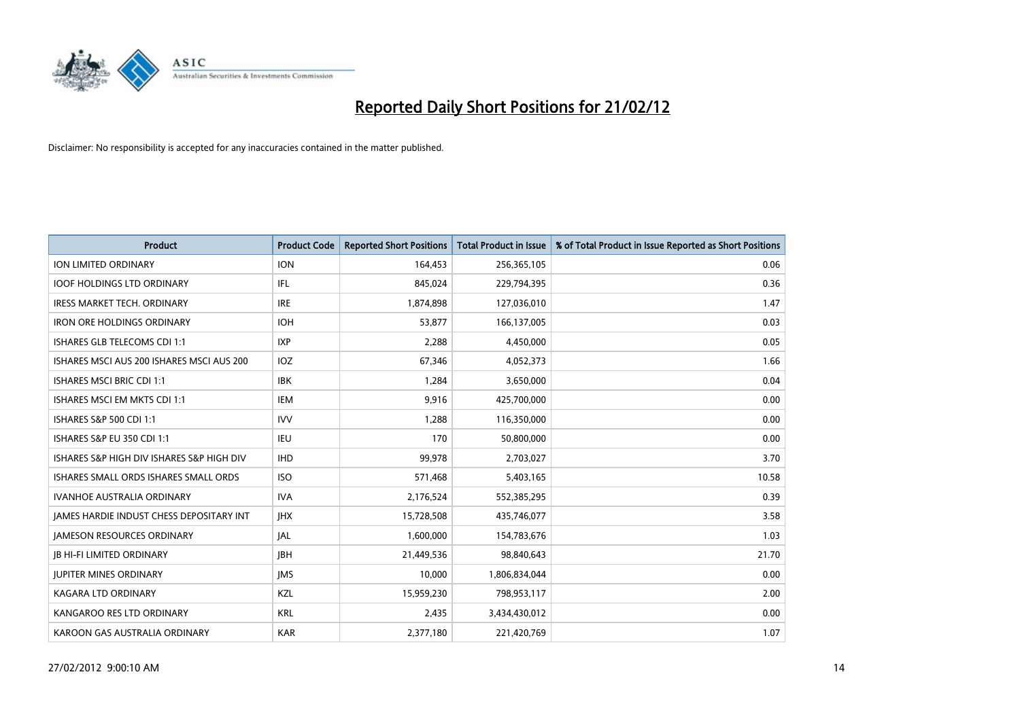

| <b>Product</b>                            | <b>Product Code</b> | <b>Reported Short Positions</b> | <b>Total Product in Issue</b> | % of Total Product in Issue Reported as Short Positions |
|-------------------------------------------|---------------------|---------------------------------|-------------------------------|---------------------------------------------------------|
| <b>ION LIMITED ORDINARY</b>               | <b>ION</b>          | 164,453                         | 256,365,105                   | 0.06                                                    |
| <b>IOOF HOLDINGS LTD ORDINARY</b>         | IFL                 | 845,024                         | 229,794,395                   | 0.36                                                    |
| <b>IRESS MARKET TECH. ORDINARY</b>        | <b>IRE</b>          | 1,874,898                       | 127,036,010                   | 1.47                                                    |
| <b>IRON ORE HOLDINGS ORDINARY</b>         | <b>IOH</b>          | 53,877                          | 166,137,005                   | 0.03                                                    |
| ISHARES GLB TELECOMS CDI 1:1              | <b>IXP</b>          | 2,288                           | 4,450,000                     | 0.05                                                    |
| ISHARES MSCI AUS 200 ISHARES MSCI AUS 200 | <b>IOZ</b>          | 67,346                          | 4,052,373                     | 1.66                                                    |
| <b>ISHARES MSCI BRIC CDI 1:1</b>          | <b>IBK</b>          | 1,284                           | 3,650,000                     | 0.04                                                    |
| ISHARES MSCI EM MKTS CDI 1:1              | IEM                 | 9,916                           | 425,700,000                   | 0.00                                                    |
| ISHARES S&P 500 CDI 1:1                   | <b>IVV</b>          | 1,288                           | 116,350,000                   | 0.00                                                    |
| <b>ISHARES S&amp;P EU 350 CDI 1:1</b>     | <b>IEU</b>          | 170                             | 50,800,000                    | 0.00                                                    |
| ISHARES S&P HIGH DIV ISHARES S&P HIGH DIV | <b>IHD</b>          | 99,978                          | 2,703,027                     | 3.70                                                    |
| ISHARES SMALL ORDS ISHARES SMALL ORDS     | <b>ISO</b>          | 571,468                         | 5,403,165                     | 10.58                                                   |
| <b>IVANHOE AUSTRALIA ORDINARY</b>         | <b>IVA</b>          | 2,176,524                       | 552,385,295                   | 0.39                                                    |
| JAMES HARDIE INDUST CHESS DEPOSITARY INT  | <b>JHX</b>          | 15,728,508                      | 435,746,077                   | 3.58                                                    |
| <b>JAMESON RESOURCES ORDINARY</b>         | <b>JAL</b>          | 1,600,000                       | 154,783,676                   | 1.03                                                    |
| <b>JB HI-FI LIMITED ORDINARY</b>          | <b>IBH</b>          | 21,449,536                      | 98,840,643                    | 21.70                                                   |
| <b>JUPITER MINES ORDINARY</b>             | <b>IMS</b>          | 10,000                          | 1,806,834,044                 | 0.00                                                    |
| <b>KAGARA LTD ORDINARY</b>                | KZL                 | 15,959,230                      | 798,953,117                   | 2.00                                                    |
| KANGAROO RES LTD ORDINARY                 | <b>KRL</b>          | 2,435                           | 3,434,430,012                 | 0.00                                                    |
| KAROON GAS AUSTRALIA ORDINARY             | <b>KAR</b>          | 2,377,180                       | 221,420,769                   | 1.07                                                    |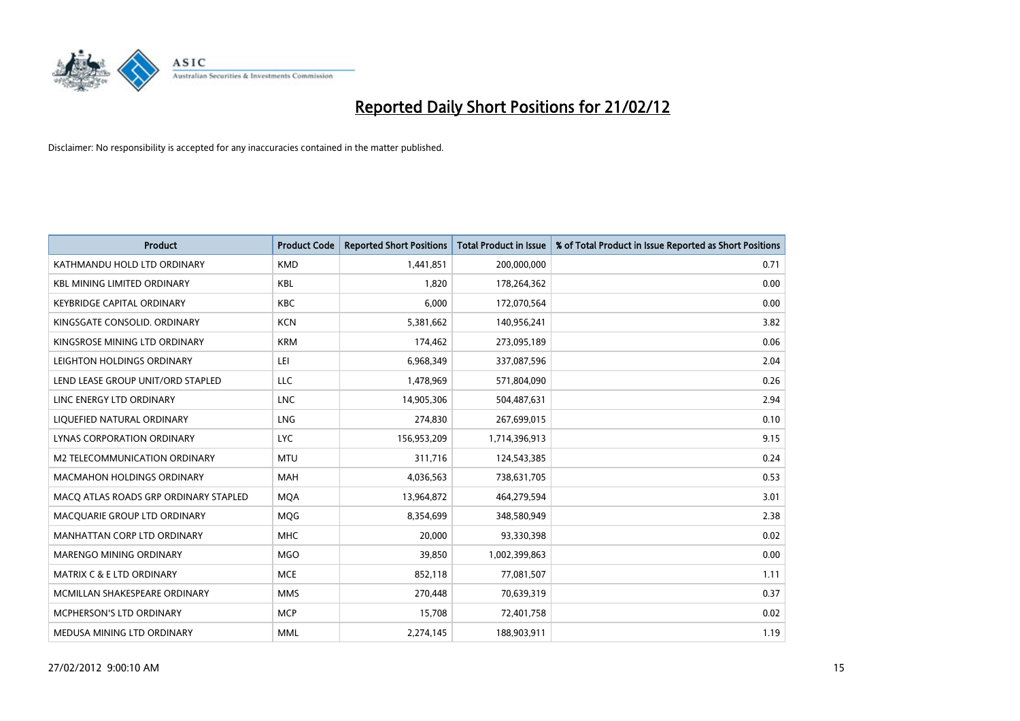

| <b>Product</b>                        | <b>Product Code</b> | <b>Reported Short Positions</b> | <b>Total Product in Issue</b> | % of Total Product in Issue Reported as Short Positions |
|---------------------------------------|---------------------|---------------------------------|-------------------------------|---------------------------------------------------------|
| KATHMANDU HOLD LTD ORDINARY           | <b>KMD</b>          | 1,441,851                       | 200,000,000                   | 0.71                                                    |
| <b>KBL MINING LIMITED ORDINARY</b>    | KBL                 | 1,820                           | 178,264,362                   | 0.00                                                    |
| <b>KEYBRIDGE CAPITAL ORDINARY</b>     | <b>KBC</b>          | 6,000                           | 172,070,564                   | 0.00                                                    |
| KINGSGATE CONSOLID. ORDINARY          | <b>KCN</b>          | 5,381,662                       | 140,956,241                   | 3.82                                                    |
| KINGSROSE MINING LTD ORDINARY         | <b>KRM</b>          | 174,462                         | 273,095,189                   | 0.06                                                    |
| LEIGHTON HOLDINGS ORDINARY            | LEI                 | 6,968,349                       | 337,087,596                   | 2.04                                                    |
| LEND LEASE GROUP UNIT/ORD STAPLED     | LLC                 | 1,478,969                       | 571,804,090                   | 0.26                                                    |
| LINC ENERGY LTD ORDINARY              | <b>LNC</b>          | 14,905,306                      | 504,487,631                   | 2.94                                                    |
| LIQUEFIED NATURAL ORDINARY            | <b>LNG</b>          | 274,830                         | 267,699,015                   | 0.10                                                    |
| <b>LYNAS CORPORATION ORDINARY</b>     | <b>LYC</b>          | 156,953,209                     | 1,714,396,913                 | 9.15                                                    |
| M2 TELECOMMUNICATION ORDINARY         | <b>MTU</b>          | 311,716                         | 124,543,385                   | 0.24                                                    |
| <b>MACMAHON HOLDINGS ORDINARY</b>     | <b>MAH</b>          | 4,036,563                       | 738,631,705                   | 0.53                                                    |
| MACO ATLAS ROADS GRP ORDINARY STAPLED | <b>MOA</b>          | 13,964,872                      | 464,279,594                   | 3.01                                                    |
| MACQUARIE GROUP LTD ORDINARY          | <b>MOG</b>          | 8,354,699                       | 348,580,949                   | 2.38                                                    |
| MANHATTAN CORP LTD ORDINARY           | <b>MHC</b>          | 20,000                          | 93,330,398                    | 0.02                                                    |
| MARENGO MINING ORDINARY               | <b>MGO</b>          | 39,850                          | 1,002,399,863                 | 0.00                                                    |
| MATRIX C & E LTD ORDINARY             | <b>MCE</b>          | 852,118                         | 77,081,507                    | 1.11                                                    |
| MCMILLAN SHAKESPEARE ORDINARY         | <b>MMS</b>          | 270,448                         | 70,639,319                    | 0.37                                                    |
| <b>MCPHERSON'S LTD ORDINARY</b>       | <b>MCP</b>          | 15,708                          | 72,401,758                    | 0.02                                                    |
| MEDUSA MINING LTD ORDINARY            | <b>MML</b>          | 2,274,145                       | 188,903,911                   | 1.19                                                    |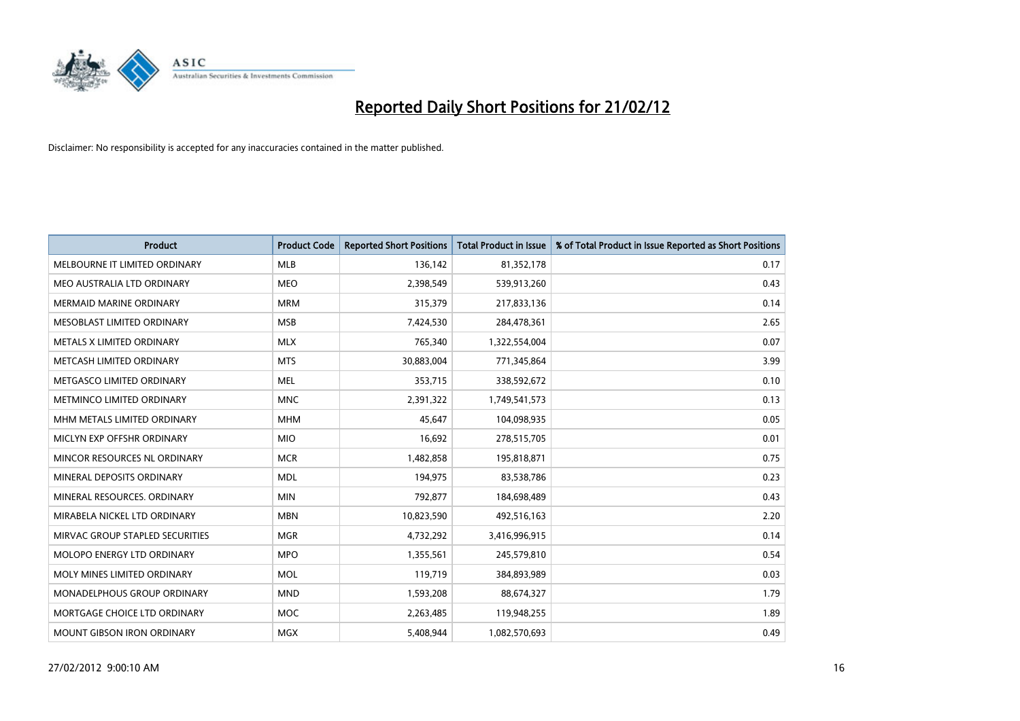

| <b>Product</b>                  | <b>Product Code</b> | <b>Reported Short Positions</b> | <b>Total Product in Issue</b> | % of Total Product in Issue Reported as Short Positions |
|---------------------------------|---------------------|---------------------------------|-------------------------------|---------------------------------------------------------|
| MELBOURNE IT LIMITED ORDINARY   | <b>MLB</b>          | 136,142                         | 81,352,178                    | 0.17                                                    |
| MEO AUSTRALIA LTD ORDINARY      | <b>MEO</b>          | 2,398,549                       | 539,913,260                   | 0.43                                                    |
| <b>MERMAID MARINE ORDINARY</b>  | <b>MRM</b>          | 315,379                         | 217,833,136                   | 0.14                                                    |
| MESOBLAST LIMITED ORDINARY      | <b>MSB</b>          | 7,424,530                       | 284,478,361                   | 2.65                                                    |
| METALS X LIMITED ORDINARY       | <b>MLX</b>          | 765,340                         | 1,322,554,004                 | 0.07                                                    |
| METCASH LIMITED ORDINARY        | <b>MTS</b>          | 30,883,004                      | 771,345,864                   | 3.99                                                    |
| METGASCO LIMITED ORDINARY       | <b>MEL</b>          | 353,715                         | 338,592,672                   | 0.10                                                    |
| METMINCO LIMITED ORDINARY       | <b>MNC</b>          | 2,391,322                       | 1,749,541,573                 | 0.13                                                    |
| MHM METALS LIMITED ORDINARY     | <b>MHM</b>          | 45,647                          | 104,098,935                   | 0.05                                                    |
| MICLYN EXP OFFSHR ORDINARY      | <b>MIO</b>          | 16,692                          | 278,515,705                   | 0.01                                                    |
| MINCOR RESOURCES NL ORDINARY    | <b>MCR</b>          | 1,482,858                       | 195,818,871                   | 0.75                                                    |
| MINERAL DEPOSITS ORDINARY       | <b>MDL</b>          | 194,975                         | 83,538,786                    | 0.23                                                    |
| MINERAL RESOURCES. ORDINARY     | <b>MIN</b>          | 792,877                         | 184,698,489                   | 0.43                                                    |
| MIRABELA NICKEL LTD ORDINARY    | <b>MBN</b>          | 10,823,590                      | 492,516,163                   | 2.20                                                    |
| MIRVAC GROUP STAPLED SECURITIES | <b>MGR</b>          | 4,732,292                       | 3,416,996,915                 | 0.14                                                    |
| MOLOPO ENERGY LTD ORDINARY      | <b>MPO</b>          | 1,355,561                       | 245,579,810                   | 0.54                                                    |
| MOLY MINES LIMITED ORDINARY     | <b>MOL</b>          | 119,719                         | 384,893,989                   | 0.03                                                    |
| MONADELPHOUS GROUP ORDINARY     | <b>MND</b>          | 1,593,208                       | 88,674,327                    | 1.79                                                    |
| MORTGAGE CHOICE LTD ORDINARY    | <b>MOC</b>          | 2,263,485                       | 119,948,255                   | 1.89                                                    |
| MOUNT GIBSON IRON ORDINARY      | <b>MGX</b>          | 5,408,944                       | 1,082,570,693                 | 0.49                                                    |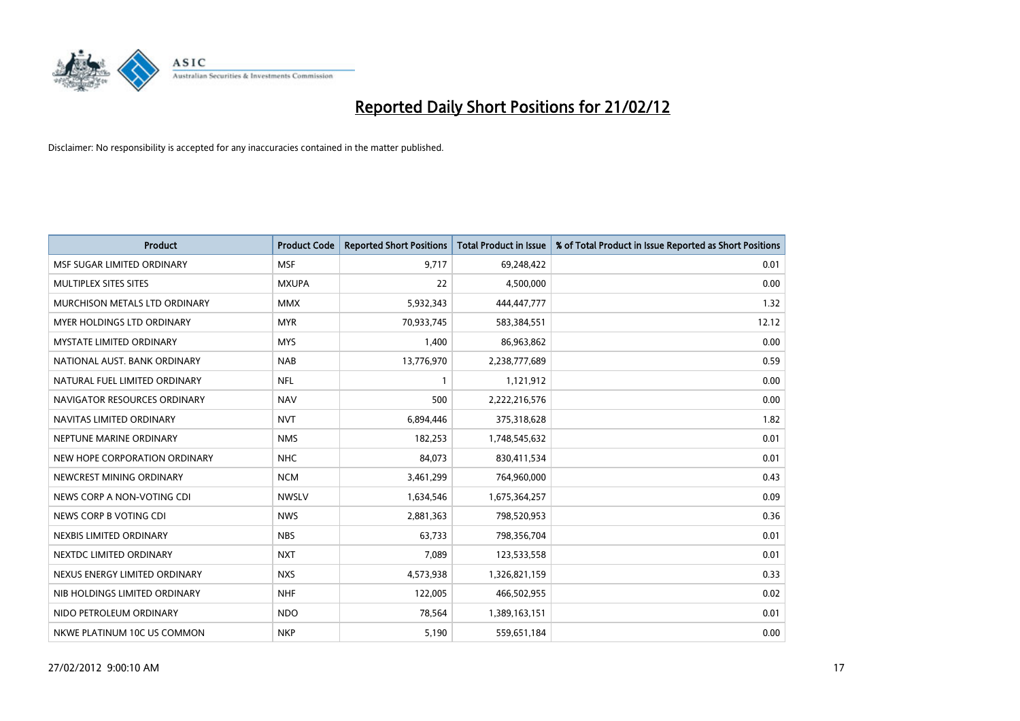

| <b>Product</b>                  | <b>Product Code</b> | <b>Reported Short Positions</b> | <b>Total Product in Issue</b> | % of Total Product in Issue Reported as Short Positions |
|---------------------------------|---------------------|---------------------------------|-------------------------------|---------------------------------------------------------|
| MSF SUGAR LIMITED ORDINARY      | <b>MSF</b>          | 9,717                           | 69,248,422                    | 0.01                                                    |
| MULTIPLEX SITES SITES           | <b>MXUPA</b>        | 22                              | 4,500,000                     | 0.00                                                    |
| MURCHISON METALS LTD ORDINARY   | <b>MMX</b>          | 5,932,343                       | 444,447,777                   | 1.32                                                    |
| MYER HOLDINGS LTD ORDINARY      | <b>MYR</b>          | 70,933,745                      | 583,384,551                   | 12.12                                                   |
| <b>MYSTATE LIMITED ORDINARY</b> | <b>MYS</b>          | 1,400                           | 86,963,862                    | 0.00                                                    |
| NATIONAL AUST, BANK ORDINARY    | <b>NAB</b>          | 13,776,970                      | 2,238,777,689                 | 0.59                                                    |
| NATURAL FUEL LIMITED ORDINARY   | <b>NFL</b>          | 1                               | 1,121,912                     | 0.00                                                    |
| NAVIGATOR RESOURCES ORDINARY    | <b>NAV</b>          | 500                             | 2,222,216,576                 | 0.00                                                    |
| NAVITAS LIMITED ORDINARY        | <b>NVT</b>          | 6,894,446                       | 375,318,628                   | 1.82                                                    |
| NEPTUNE MARINE ORDINARY         | <b>NMS</b>          | 182,253                         | 1,748,545,632                 | 0.01                                                    |
| NEW HOPE CORPORATION ORDINARY   | <b>NHC</b>          | 84,073                          | 830,411,534                   | 0.01                                                    |
| NEWCREST MINING ORDINARY        | <b>NCM</b>          | 3,461,299                       | 764,960,000                   | 0.43                                                    |
| NEWS CORP A NON-VOTING CDI      | <b>NWSLV</b>        | 1,634,546                       | 1,675,364,257                 | 0.09                                                    |
| NEWS CORP B VOTING CDI          | <b>NWS</b>          | 2,881,363                       | 798,520,953                   | 0.36                                                    |
| NEXBIS LIMITED ORDINARY         | <b>NBS</b>          | 63,733                          | 798,356,704                   | 0.01                                                    |
| NEXTDC LIMITED ORDINARY         | <b>NXT</b>          | 7,089                           | 123,533,558                   | 0.01                                                    |
| NEXUS ENERGY LIMITED ORDINARY   | <b>NXS</b>          | 4,573,938                       | 1,326,821,159                 | 0.33                                                    |
| NIB HOLDINGS LIMITED ORDINARY   | <b>NHF</b>          | 122,005                         | 466,502,955                   | 0.02                                                    |
| NIDO PETROLEUM ORDINARY         | <b>NDO</b>          | 78,564                          | 1,389,163,151                 | 0.01                                                    |
| NKWE PLATINUM 10C US COMMON     | <b>NKP</b>          | 5,190                           | 559,651,184                   | 0.00                                                    |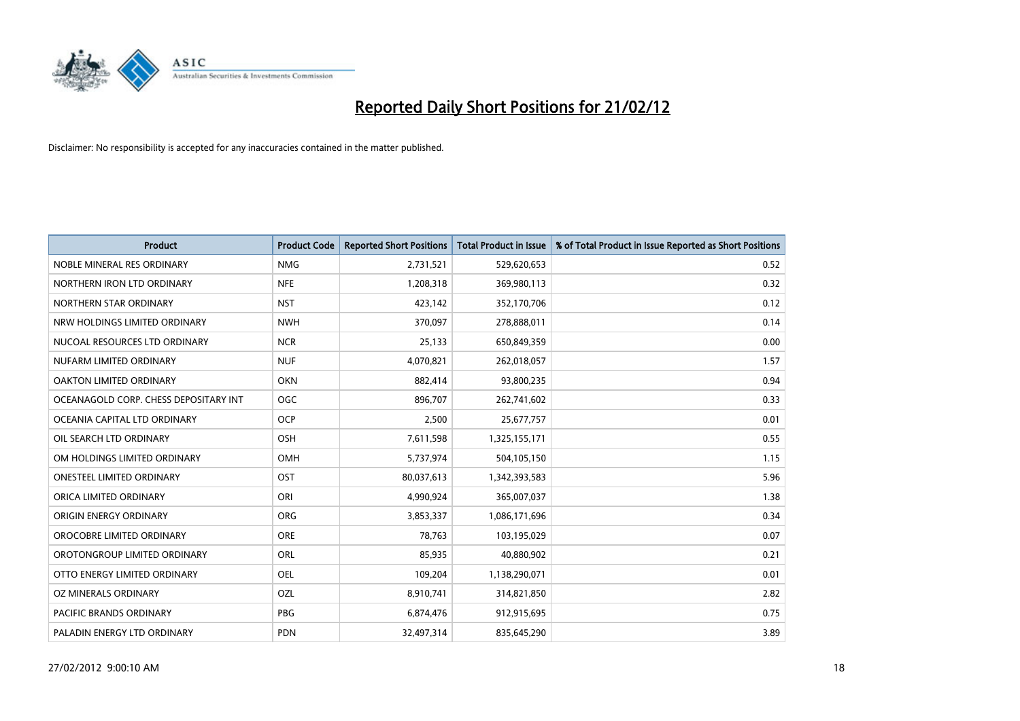

| <b>Product</b>                        | <b>Product Code</b> | <b>Reported Short Positions</b> | <b>Total Product in Issue</b> | % of Total Product in Issue Reported as Short Positions |
|---------------------------------------|---------------------|---------------------------------|-------------------------------|---------------------------------------------------------|
| NOBLE MINERAL RES ORDINARY            | <b>NMG</b>          | 2,731,521                       | 529,620,653                   | 0.52                                                    |
| NORTHERN IRON LTD ORDINARY            | <b>NFE</b>          | 1,208,318                       | 369,980,113                   | 0.32                                                    |
| NORTHERN STAR ORDINARY                | <b>NST</b>          | 423,142                         | 352,170,706                   | 0.12                                                    |
| NRW HOLDINGS LIMITED ORDINARY         | <b>NWH</b>          | 370,097                         | 278,888,011                   | 0.14                                                    |
| NUCOAL RESOURCES LTD ORDINARY         | <b>NCR</b>          | 25,133                          | 650,849,359                   | 0.00                                                    |
| NUFARM LIMITED ORDINARY               | <b>NUF</b>          | 4,070,821                       | 262,018,057                   | 1.57                                                    |
| OAKTON LIMITED ORDINARY               | <b>OKN</b>          | 882,414                         | 93,800,235                    | 0.94                                                    |
| OCEANAGOLD CORP. CHESS DEPOSITARY INT | <b>OGC</b>          | 896.707                         | 262,741,602                   | 0.33                                                    |
| OCEANIA CAPITAL LTD ORDINARY          | <b>OCP</b>          | 2,500                           | 25,677,757                    | 0.01                                                    |
| OIL SEARCH LTD ORDINARY               | OSH                 | 7,611,598                       | 1,325,155,171                 | 0.55                                                    |
| OM HOLDINGS LIMITED ORDINARY          | <b>OMH</b>          | 5,737,974                       | 504,105,150                   | 1.15                                                    |
| <b>ONESTEEL LIMITED ORDINARY</b>      | OST                 | 80,037,613                      | 1,342,393,583                 | 5.96                                                    |
| ORICA LIMITED ORDINARY                | ORI                 | 4,990,924                       | 365,007,037                   | 1.38                                                    |
| ORIGIN ENERGY ORDINARY                | <b>ORG</b>          | 3,853,337                       | 1,086,171,696                 | 0.34                                                    |
| OROCOBRE LIMITED ORDINARY             | <b>ORE</b>          | 78,763                          | 103,195,029                   | 0.07                                                    |
| OROTONGROUP LIMITED ORDINARY          | ORL                 | 85,935                          | 40,880,902                    | 0.21                                                    |
| OTTO ENERGY LIMITED ORDINARY          | OEL                 | 109,204                         | 1,138,290,071                 | 0.01                                                    |
| <b>OZ MINERALS ORDINARY</b>           | OZL                 | 8,910,741                       | 314,821,850                   | 2.82                                                    |
| <b>PACIFIC BRANDS ORDINARY</b>        | <b>PBG</b>          | 6,874,476                       | 912,915,695                   | 0.75                                                    |
| PALADIN ENERGY LTD ORDINARY           | <b>PDN</b>          | 32,497,314                      | 835,645,290                   | 3.89                                                    |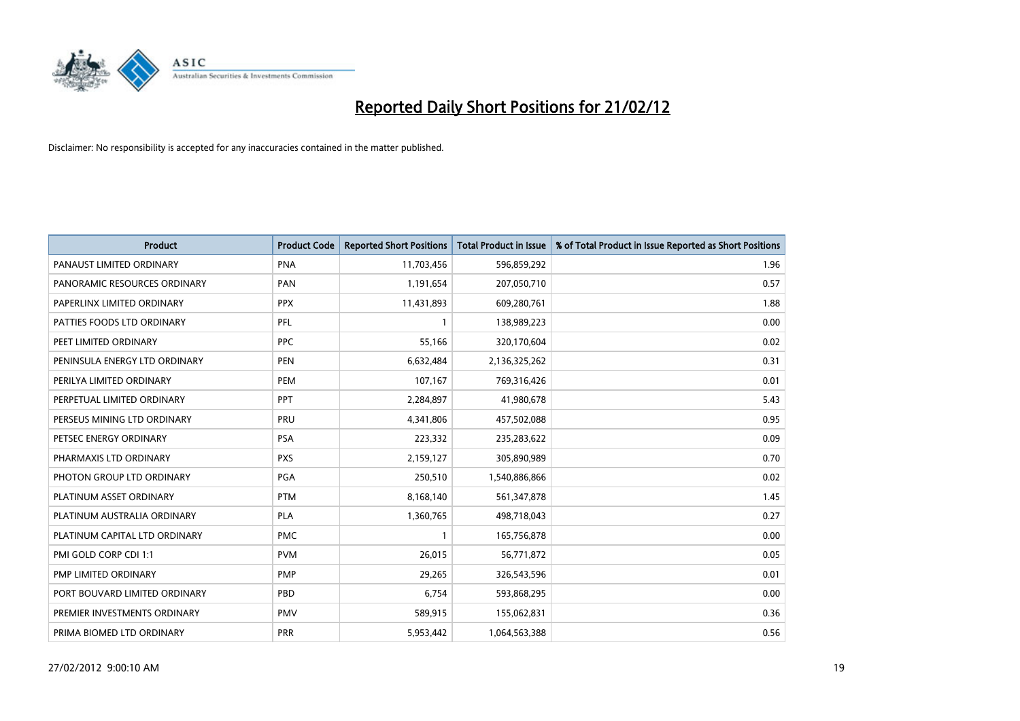

| <b>Product</b>                | <b>Product Code</b> | <b>Reported Short Positions</b> | <b>Total Product in Issue</b> | % of Total Product in Issue Reported as Short Positions |
|-------------------------------|---------------------|---------------------------------|-------------------------------|---------------------------------------------------------|
| PANAUST LIMITED ORDINARY      | <b>PNA</b>          | 11,703,456                      | 596,859,292                   | 1.96                                                    |
| PANORAMIC RESOURCES ORDINARY  | PAN                 | 1,191,654                       | 207,050,710                   | 0.57                                                    |
| PAPERLINX LIMITED ORDINARY    | <b>PPX</b>          | 11,431,893                      | 609,280,761                   | 1.88                                                    |
| PATTIES FOODS LTD ORDINARY    | PFL                 | $\mathbf{1}$                    | 138,989,223                   | 0.00                                                    |
| PEET LIMITED ORDINARY         | <b>PPC</b>          | 55,166                          | 320,170,604                   | 0.02                                                    |
| PENINSULA ENERGY LTD ORDINARY | <b>PEN</b>          | 6,632,484                       | 2,136,325,262                 | 0.31                                                    |
| PERILYA LIMITED ORDINARY      | <b>PEM</b>          | 107,167                         | 769,316,426                   | 0.01                                                    |
| PERPETUAL LIMITED ORDINARY    | PPT                 | 2,284,897                       | 41,980,678                    | 5.43                                                    |
| PERSEUS MINING LTD ORDINARY   | PRU                 | 4,341,806                       | 457,502,088                   | 0.95                                                    |
| PETSEC ENERGY ORDINARY        | <b>PSA</b>          | 223,332                         | 235,283,622                   | 0.09                                                    |
| PHARMAXIS LTD ORDINARY        | <b>PXS</b>          | 2,159,127                       | 305,890,989                   | 0.70                                                    |
| PHOTON GROUP LTD ORDINARY     | PGA                 | 250,510                         | 1,540,886,866                 | 0.02                                                    |
| PLATINUM ASSET ORDINARY       | <b>PTM</b>          | 8,168,140                       | 561,347,878                   | 1.45                                                    |
| PLATINUM AUSTRALIA ORDINARY   | <b>PLA</b>          | 1,360,765                       | 498,718,043                   | 0.27                                                    |
| PLATINUM CAPITAL LTD ORDINARY | <b>PMC</b>          | $\mathbf{1}$                    | 165,756,878                   | 0.00                                                    |
| PMI GOLD CORP CDI 1:1         | <b>PVM</b>          | 26,015                          | 56,771,872                    | 0.05                                                    |
| PMP LIMITED ORDINARY          | <b>PMP</b>          | 29,265                          | 326,543,596                   | 0.01                                                    |
| PORT BOUVARD LIMITED ORDINARY | <b>PBD</b>          | 6,754                           | 593,868,295                   | 0.00                                                    |
| PREMIER INVESTMENTS ORDINARY  | <b>PMV</b>          | 589,915                         | 155,062,831                   | 0.36                                                    |
| PRIMA BIOMED LTD ORDINARY     | <b>PRR</b>          | 5,953,442                       | 1,064,563,388                 | 0.56                                                    |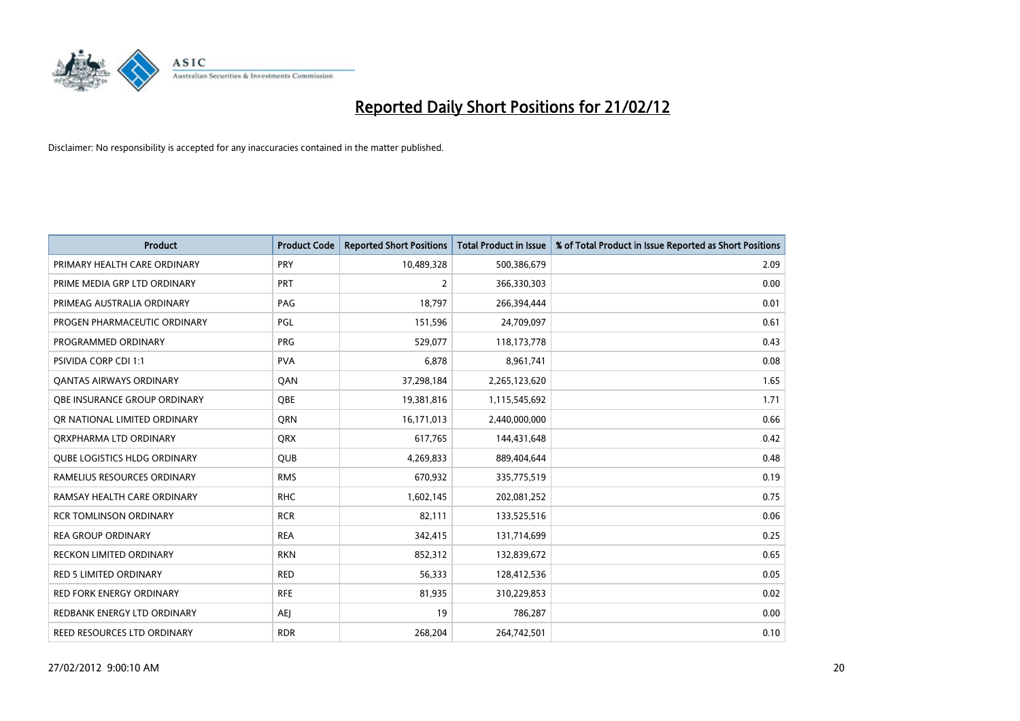

| <b>Product</b>                      | <b>Product Code</b> | <b>Reported Short Positions</b> | <b>Total Product in Issue</b> | % of Total Product in Issue Reported as Short Positions |
|-------------------------------------|---------------------|---------------------------------|-------------------------------|---------------------------------------------------------|
| PRIMARY HEALTH CARE ORDINARY        | <b>PRY</b>          | 10,489,328                      | 500,386,679                   | 2.09                                                    |
| PRIME MEDIA GRP LTD ORDINARY        | <b>PRT</b>          | $\overline{2}$                  | 366,330,303                   | 0.00                                                    |
| PRIMEAG AUSTRALIA ORDINARY          | PAG                 | 18,797                          | 266,394,444                   | 0.01                                                    |
| PROGEN PHARMACEUTIC ORDINARY        | <b>PGL</b>          | 151,596                         | 24,709,097                    | 0.61                                                    |
| PROGRAMMED ORDINARY                 | <b>PRG</b>          | 529,077                         | 118,173,778                   | 0.43                                                    |
| <b>PSIVIDA CORP CDI 1:1</b>         | <b>PVA</b>          | 6,878                           | 8,961,741                     | 0.08                                                    |
| <b>QANTAS AIRWAYS ORDINARY</b>      | QAN                 | 37,298,184                      | 2,265,123,620                 | 1.65                                                    |
| OBE INSURANCE GROUP ORDINARY        | <b>OBE</b>          | 19,381,816                      | 1,115,545,692                 | 1.71                                                    |
| OR NATIONAL LIMITED ORDINARY        | <b>ORN</b>          | 16,171,013                      | 2,440,000,000                 | 0.66                                                    |
| ORXPHARMA LTD ORDINARY              | <b>QRX</b>          | 617,765                         | 144,431,648                   | 0.42                                                    |
| <b>QUBE LOGISTICS HLDG ORDINARY</b> | QUB                 | 4,269,833                       | 889,404,644                   | 0.48                                                    |
| RAMELIUS RESOURCES ORDINARY         | <b>RMS</b>          | 670,932                         | 335,775,519                   | 0.19                                                    |
| RAMSAY HEALTH CARE ORDINARY         | <b>RHC</b>          | 1,602,145                       | 202,081,252                   | 0.75                                                    |
| <b>RCR TOMLINSON ORDINARY</b>       | <b>RCR</b>          | 82,111                          | 133,525,516                   | 0.06                                                    |
| <b>REA GROUP ORDINARY</b>           | <b>REA</b>          | 342,415                         | 131,714,699                   | 0.25                                                    |
| <b>RECKON LIMITED ORDINARY</b>      | <b>RKN</b>          | 852,312                         | 132,839,672                   | 0.65                                                    |
| <b>RED 5 LIMITED ORDINARY</b>       | RED                 | 56,333                          | 128,412,536                   | 0.05                                                    |
| <b>RED FORK ENERGY ORDINARY</b>     | <b>RFE</b>          | 81,935                          | 310,229,853                   | 0.02                                                    |
| REDBANK ENERGY LTD ORDINARY         | <b>AEI</b>          | 19                              | 786,287                       | 0.00                                                    |
| REED RESOURCES LTD ORDINARY         | <b>RDR</b>          | 268,204                         | 264,742,501                   | 0.10                                                    |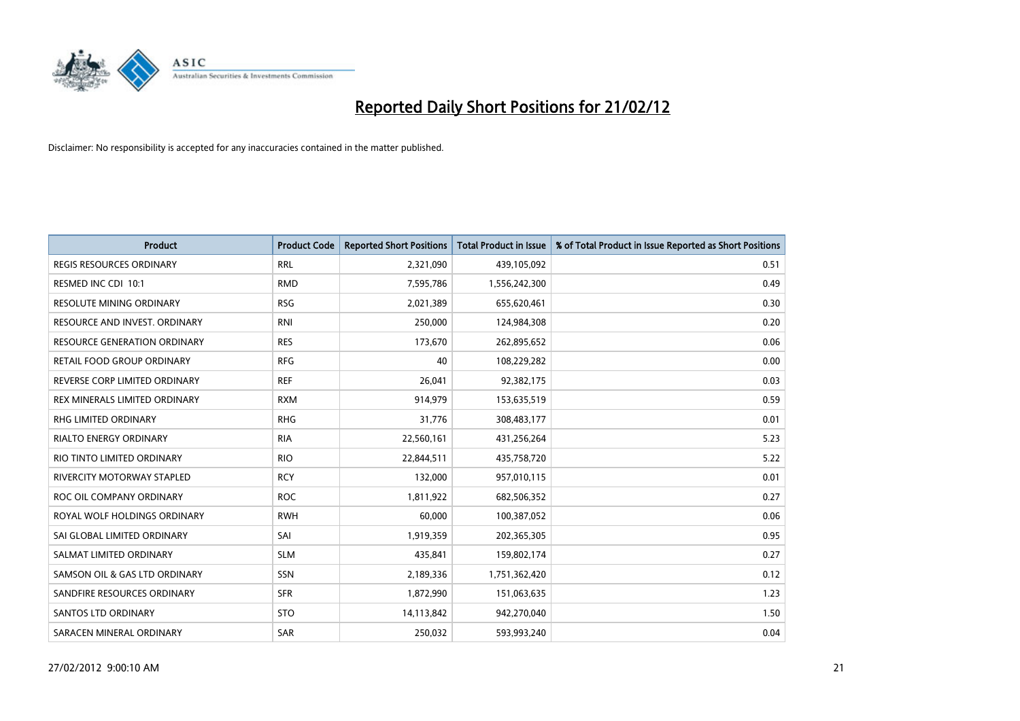

| <b>Product</b>                      | <b>Product Code</b> | <b>Reported Short Positions</b> | <b>Total Product in Issue</b> | % of Total Product in Issue Reported as Short Positions |
|-------------------------------------|---------------------|---------------------------------|-------------------------------|---------------------------------------------------------|
| <b>REGIS RESOURCES ORDINARY</b>     | <b>RRL</b>          | 2,321,090                       | 439,105,092                   | 0.51                                                    |
| RESMED INC CDI 10:1                 | <b>RMD</b>          | 7,595,786                       | 1,556,242,300                 | 0.49                                                    |
| <b>RESOLUTE MINING ORDINARY</b>     | <b>RSG</b>          | 2,021,389                       | 655,620,461                   | 0.30                                                    |
| RESOURCE AND INVEST. ORDINARY       | <b>RNI</b>          | 250,000                         | 124,984,308                   | 0.20                                                    |
| <b>RESOURCE GENERATION ORDINARY</b> | <b>RES</b>          | 173,670                         | 262,895,652                   | 0.06                                                    |
| <b>RETAIL FOOD GROUP ORDINARY</b>   | <b>RFG</b>          | 40                              | 108,229,282                   | 0.00                                                    |
| REVERSE CORP LIMITED ORDINARY       | <b>REF</b>          | 26,041                          | 92,382,175                    | 0.03                                                    |
| REX MINERALS LIMITED ORDINARY       | <b>RXM</b>          | 914,979                         | 153,635,519                   | 0.59                                                    |
| <b>RHG LIMITED ORDINARY</b>         | <b>RHG</b>          | 31,776                          | 308,483,177                   | 0.01                                                    |
| <b>RIALTO ENERGY ORDINARY</b>       | <b>RIA</b>          | 22,560,161                      | 431,256,264                   | 5.23                                                    |
| RIO TINTO LIMITED ORDINARY          | <b>RIO</b>          | 22,844,511                      | 435,758,720                   | 5.22                                                    |
| <b>RIVERCITY MOTORWAY STAPLED</b>   | <b>RCY</b>          | 132,000                         | 957,010,115                   | 0.01                                                    |
| ROC OIL COMPANY ORDINARY            | <b>ROC</b>          | 1,811,922                       | 682,506,352                   | 0.27                                                    |
| ROYAL WOLF HOLDINGS ORDINARY        | <b>RWH</b>          | 60,000                          | 100,387,052                   | 0.06                                                    |
| SAI GLOBAL LIMITED ORDINARY         | SAI                 | 1,919,359                       | 202,365,305                   | 0.95                                                    |
| SALMAT LIMITED ORDINARY             | <b>SLM</b>          | 435,841                         | 159,802,174                   | 0.27                                                    |
| SAMSON OIL & GAS LTD ORDINARY       | SSN                 | 2,189,336                       | 1,751,362,420                 | 0.12                                                    |
| SANDFIRE RESOURCES ORDINARY         | <b>SFR</b>          | 1,872,990                       | 151,063,635                   | 1.23                                                    |
| SANTOS LTD ORDINARY                 | <b>STO</b>          | 14,113,842                      | 942,270,040                   | 1.50                                                    |
| SARACEN MINERAL ORDINARY            | SAR                 | 250,032                         | 593,993,240                   | 0.04                                                    |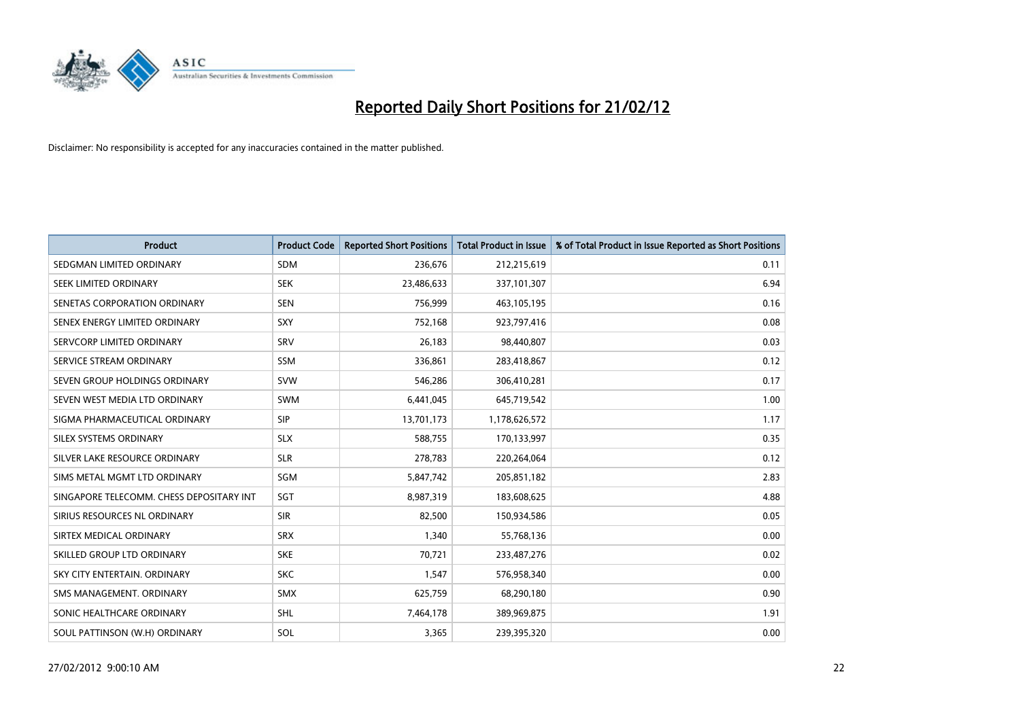

| <b>Product</b>                           | <b>Product Code</b> | <b>Reported Short Positions</b> | <b>Total Product in Issue</b> | % of Total Product in Issue Reported as Short Positions |
|------------------------------------------|---------------------|---------------------------------|-------------------------------|---------------------------------------------------------|
| SEDGMAN LIMITED ORDINARY                 | <b>SDM</b>          | 236,676                         | 212,215,619                   | 0.11                                                    |
| SEEK LIMITED ORDINARY                    | <b>SEK</b>          | 23,486,633                      | 337,101,307                   | 6.94                                                    |
| SENETAS CORPORATION ORDINARY             | <b>SEN</b>          | 756,999                         | 463,105,195                   | 0.16                                                    |
| SENEX ENERGY LIMITED ORDINARY            | SXY                 | 752,168                         | 923,797,416                   | 0.08                                                    |
| SERVCORP LIMITED ORDINARY                | SRV                 | 26,183                          | 98,440,807                    | 0.03                                                    |
| SERVICE STREAM ORDINARY                  | SSM                 | 336,861                         | 283,418,867                   | 0.12                                                    |
| SEVEN GROUP HOLDINGS ORDINARY            | <b>SVW</b>          | 546,286                         | 306,410,281                   | 0.17                                                    |
| SEVEN WEST MEDIA LTD ORDINARY            | SWM                 | 6,441,045                       | 645,719,542                   | 1.00                                                    |
| SIGMA PHARMACEUTICAL ORDINARY            | <b>SIP</b>          | 13,701,173                      | 1,178,626,572                 | 1.17                                                    |
| SILEX SYSTEMS ORDINARY                   | <b>SLX</b>          | 588,755                         | 170,133,997                   | 0.35                                                    |
| SILVER LAKE RESOURCE ORDINARY            | <b>SLR</b>          | 278,783                         | 220,264,064                   | 0.12                                                    |
| SIMS METAL MGMT LTD ORDINARY             | SGM                 | 5,847,742                       | 205,851,182                   | 2.83                                                    |
| SINGAPORE TELECOMM. CHESS DEPOSITARY INT | SGT                 | 8,987,319                       | 183,608,625                   | 4.88                                                    |
| SIRIUS RESOURCES NL ORDINARY             | <b>SIR</b>          | 82,500                          | 150,934,586                   | 0.05                                                    |
| SIRTEX MEDICAL ORDINARY                  | <b>SRX</b>          | 1,340                           | 55,768,136                    | 0.00                                                    |
| SKILLED GROUP LTD ORDINARY               | <b>SKE</b>          | 70,721                          | 233,487,276                   | 0.02                                                    |
| SKY CITY ENTERTAIN. ORDINARY             | <b>SKC</b>          | 1,547                           | 576,958,340                   | 0.00                                                    |
| SMS MANAGEMENT, ORDINARY                 | <b>SMX</b>          | 625,759                         | 68,290,180                    | 0.90                                                    |
| SONIC HEALTHCARE ORDINARY                | SHL                 | 7,464,178                       | 389,969,875                   | 1.91                                                    |
| SOUL PATTINSON (W.H) ORDINARY            | SOL                 | 3,365                           | 239,395,320                   | 0.00                                                    |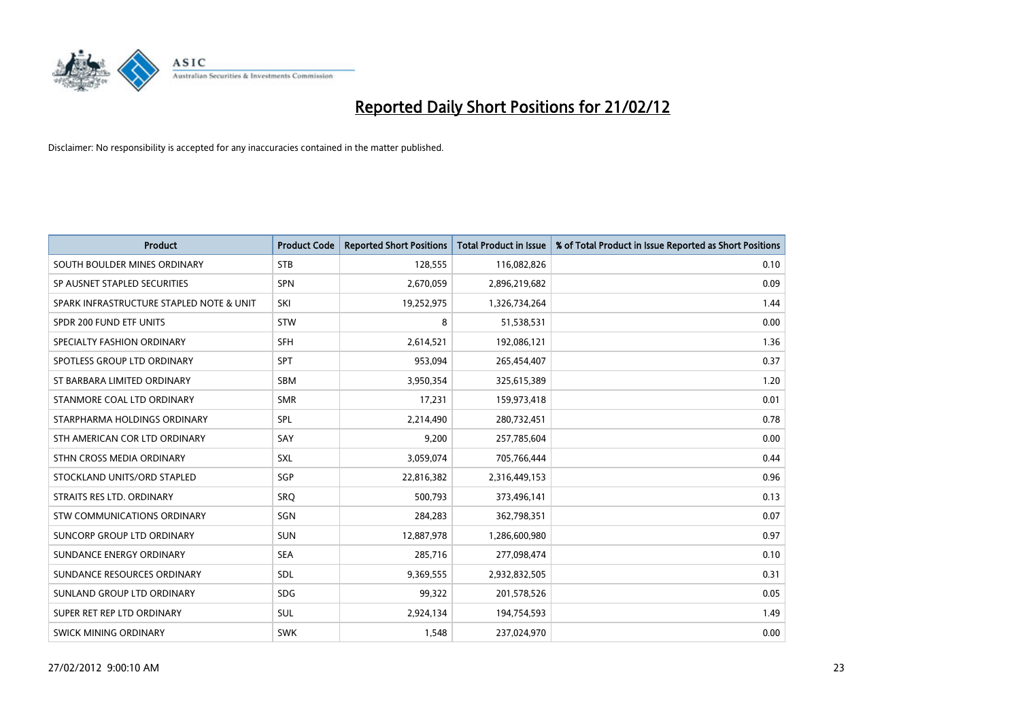

| <b>Product</b>                           | <b>Product Code</b> | <b>Reported Short Positions</b> | <b>Total Product in Issue</b> | % of Total Product in Issue Reported as Short Positions |
|------------------------------------------|---------------------|---------------------------------|-------------------------------|---------------------------------------------------------|
| SOUTH BOULDER MINES ORDINARY             | <b>STB</b>          | 128,555                         | 116,082,826                   | 0.10                                                    |
| SP AUSNET STAPLED SECURITIES             | <b>SPN</b>          | 2,670,059                       | 2,896,219,682                 | 0.09                                                    |
| SPARK INFRASTRUCTURE STAPLED NOTE & UNIT | SKI                 | 19,252,975                      | 1,326,734,264                 | 1.44                                                    |
| SPDR 200 FUND ETF UNITS                  | <b>STW</b>          | 8                               | 51,538,531                    | 0.00                                                    |
| SPECIALTY FASHION ORDINARY               | <b>SFH</b>          | 2,614,521                       | 192,086,121                   | 1.36                                                    |
| SPOTLESS GROUP LTD ORDINARY              | <b>SPT</b>          | 953,094                         | 265,454,407                   | 0.37                                                    |
| ST BARBARA LIMITED ORDINARY              | <b>SBM</b>          | 3,950,354                       | 325,615,389                   | 1.20                                                    |
| STANMORE COAL LTD ORDINARY               | <b>SMR</b>          | 17,231                          | 159,973,418                   | 0.01                                                    |
| STARPHARMA HOLDINGS ORDINARY             | SPL                 | 2,214,490                       | 280,732,451                   | 0.78                                                    |
| STH AMERICAN COR LTD ORDINARY            | SAY                 | 9,200                           | 257,785,604                   | 0.00                                                    |
| STHN CROSS MEDIA ORDINARY                | <b>SXL</b>          | 3,059,074                       | 705,766,444                   | 0.44                                                    |
| STOCKLAND UNITS/ORD STAPLED              | <b>SGP</b>          | 22,816,382                      | 2,316,449,153                 | 0.96                                                    |
| STRAITS RES LTD. ORDINARY                | SRQ                 | 500,793                         | 373,496,141                   | 0.13                                                    |
| STW COMMUNICATIONS ORDINARY              | SGN                 | 284,283                         | 362,798,351                   | 0.07                                                    |
| SUNCORP GROUP LTD ORDINARY               | <b>SUN</b>          | 12,887,978                      | 1,286,600,980                 | 0.97                                                    |
| SUNDANCE ENERGY ORDINARY                 | <b>SEA</b>          | 285,716                         | 277,098,474                   | 0.10                                                    |
| SUNDANCE RESOURCES ORDINARY              | <b>SDL</b>          | 9,369,555                       | 2,932,832,505                 | 0.31                                                    |
| SUNLAND GROUP LTD ORDINARY               | <b>SDG</b>          | 99,322                          | 201,578,526                   | 0.05                                                    |
| SUPER RET REP LTD ORDINARY               | <b>SUL</b>          | 2,924,134                       | 194,754,593                   | 1.49                                                    |
| <b>SWICK MINING ORDINARY</b>             | <b>SWK</b>          | 1,548                           | 237,024,970                   | 0.00                                                    |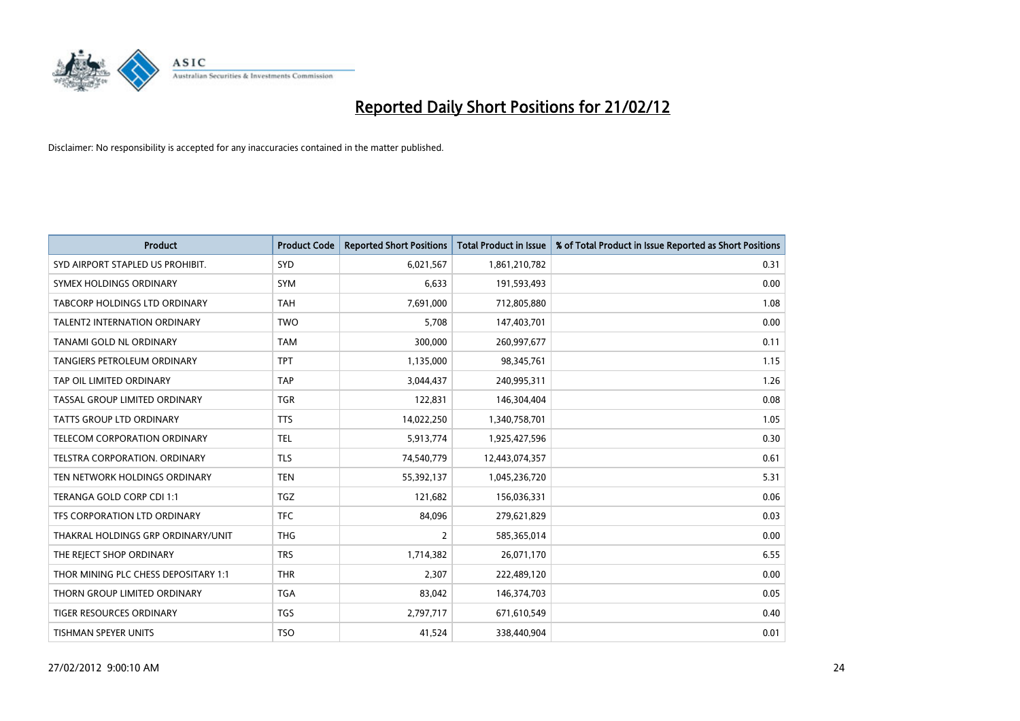

| <b>Product</b>                       | <b>Product Code</b> | <b>Reported Short Positions</b> | <b>Total Product in Issue</b> | % of Total Product in Issue Reported as Short Positions |
|--------------------------------------|---------------------|---------------------------------|-------------------------------|---------------------------------------------------------|
| SYD AIRPORT STAPLED US PROHIBIT.     | <b>SYD</b>          | 6,021,567                       | 1,861,210,782                 | 0.31                                                    |
| SYMEX HOLDINGS ORDINARY              | <b>SYM</b>          | 6,633                           | 191,593,493                   | 0.00                                                    |
| TABCORP HOLDINGS LTD ORDINARY        | <b>TAH</b>          | 7,691,000                       | 712,805,880                   | 1.08                                                    |
| <b>TALENT2 INTERNATION ORDINARY</b>  | <b>TWO</b>          | 5,708                           | 147,403,701                   | 0.00                                                    |
| TANAMI GOLD NL ORDINARY              | <b>TAM</b>          | 300,000                         | 260,997,677                   | 0.11                                                    |
| TANGIERS PETROLEUM ORDINARY          | <b>TPT</b>          | 1,135,000                       | 98,345,761                    | 1.15                                                    |
| TAP OIL LIMITED ORDINARY             | <b>TAP</b>          | 3,044,437                       | 240,995,311                   | 1.26                                                    |
| TASSAL GROUP LIMITED ORDINARY        | <b>TGR</b>          | 122,831                         | 146,304,404                   | 0.08                                                    |
| <b>TATTS GROUP LTD ORDINARY</b>      | <b>TTS</b>          | 14,022,250                      | 1,340,758,701                 | 1.05                                                    |
| TELECOM CORPORATION ORDINARY         | <b>TEL</b>          | 5,913,774                       | 1,925,427,596                 | 0.30                                                    |
| TELSTRA CORPORATION. ORDINARY        | <b>TLS</b>          | 74,540,779                      | 12,443,074,357                | 0.61                                                    |
| TEN NETWORK HOLDINGS ORDINARY        | <b>TEN</b>          | 55,392,137                      | 1,045,236,720                 | 5.31                                                    |
| TERANGA GOLD CORP CDI 1:1            | <b>TGZ</b>          | 121,682                         | 156,036,331                   | 0.06                                                    |
| TFS CORPORATION LTD ORDINARY         | <b>TFC</b>          | 84,096                          | 279,621,829                   | 0.03                                                    |
| THAKRAL HOLDINGS GRP ORDINARY/UNIT   | <b>THG</b>          | $\overline{2}$                  | 585,365,014                   | 0.00                                                    |
| THE REJECT SHOP ORDINARY             | <b>TRS</b>          | 1,714,382                       | 26,071,170                    | 6.55                                                    |
| THOR MINING PLC CHESS DEPOSITARY 1:1 | <b>THR</b>          | 2,307                           | 222,489,120                   | 0.00                                                    |
| THORN GROUP LIMITED ORDINARY         | <b>TGA</b>          | 83,042                          | 146,374,703                   | 0.05                                                    |
| <b>TIGER RESOURCES ORDINARY</b>      | <b>TGS</b>          | 2,797,717                       | 671,610,549                   | 0.40                                                    |
| <b>TISHMAN SPEYER UNITS</b>          | <b>TSO</b>          | 41,524                          | 338,440,904                   | 0.01                                                    |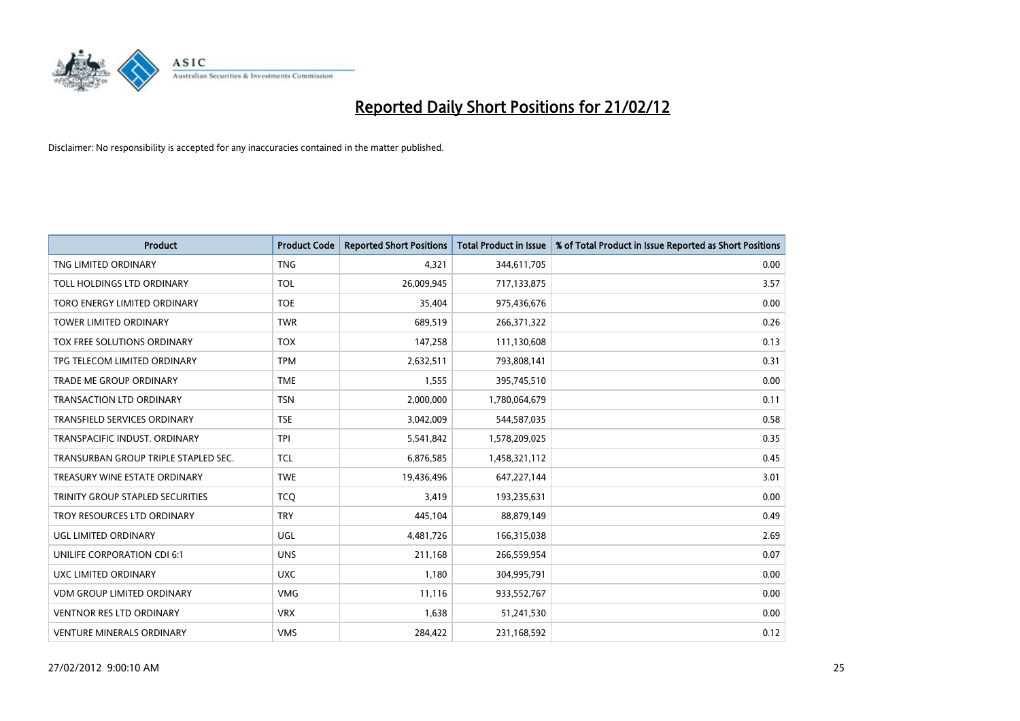

| <b>Product</b>                       | <b>Product Code</b> | <b>Reported Short Positions</b> | <b>Total Product in Issue</b> | % of Total Product in Issue Reported as Short Positions |
|--------------------------------------|---------------------|---------------------------------|-------------------------------|---------------------------------------------------------|
| TNG LIMITED ORDINARY                 | <b>TNG</b>          | 4,321                           | 344,611,705                   | 0.00                                                    |
| TOLL HOLDINGS LTD ORDINARY           | <b>TOL</b>          | 26,009,945                      | 717,133,875                   | 3.57                                                    |
| TORO ENERGY LIMITED ORDINARY         | <b>TOE</b>          | 35,404                          | 975,436,676                   | 0.00                                                    |
| TOWER LIMITED ORDINARY               | <b>TWR</b>          | 689,519                         | 266,371,322                   | 0.26                                                    |
| TOX FREE SOLUTIONS ORDINARY          | <b>TOX</b>          | 147,258                         | 111,130,608                   | 0.13                                                    |
| TPG TELECOM LIMITED ORDINARY         | <b>TPM</b>          | 2,632,511                       | 793,808,141                   | 0.31                                                    |
| TRADE ME GROUP ORDINARY              | <b>TME</b>          | 1,555                           | 395,745,510                   | 0.00                                                    |
| TRANSACTION LTD ORDINARY             | <b>TSN</b>          | 2,000,000                       | 1,780,064,679                 | 0.11                                                    |
| <b>TRANSFIELD SERVICES ORDINARY</b>  | <b>TSE</b>          | 3,042,009                       | 544,587,035                   | 0.58                                                    |
| TRANSPACIFIC INDUST, ORDINARY        | <b>TPI</b>          | 5,541,842                       | 1,578,209,025                 | 0.35                                                    |
| TRANSURBAN GROUP TRIPLE STAPLED SEC. | <b>TCL</b>          | 6,876,585                       | 1,458,321,112                 | 0.45                                                    |
| TREASURY WINE ESTATE ORDINARY        | <b>TWE</b>          | 19,436,496                      | 647,227,144                   | 3.01                                                    |
| TRINITY GROUP STAPLED SECURITIES     | <b>TCO</b>          | 3,419                           | 193,235,631                   | 0.00                                                    |
| TROY RESOURCES LTD ORDINARY          | <b>TRY</b>          | 445,104                         | 88,879,149                    | 0.49                                                    |
| UGL LIMITED ORDINARY                 | UGL                 | 4,481,726                       | 166,315,038                   | 2.69                                                    |
| UNILIFE CORPORATION CDI 6:1          | <b>UNS</b>          | 211,168                         | 266,559,954                   | 0.07                                                    |
| UXC LIMITED ORDINARY                 | <b>UXC</b>          | 1,180                           | 304,995,791                   | 0.00                                                    |
| <b>VDM GROUP LIMITED ORDINARY</b>    | <b>VMG</b>          | 11,116                          | 933,552,767                   | 0.00                                                    |
| <b>VENTNOR RES LTD ORDINARY</b>      | <b>VRX</b>          | 1,638                           | 51,241,530                    | 0.00                                                    |
| <b>VENTURE MINERALS ORDINARY</b>     | <b>VMS</b>          | 284,422                         | 231,168,592                   | 0.12                                                    |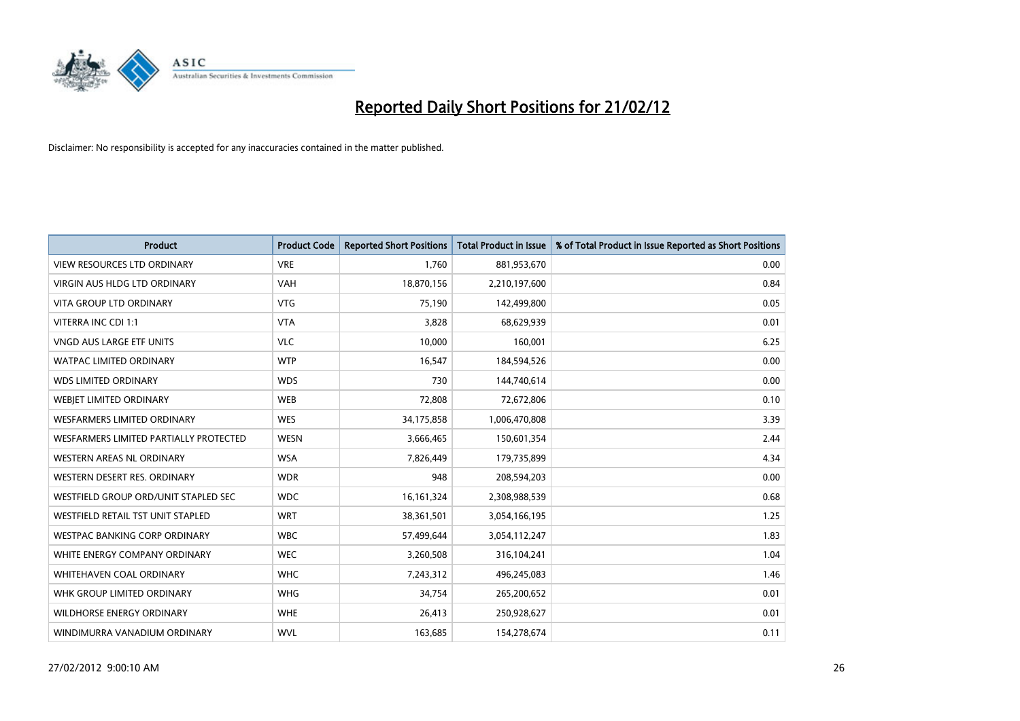

| <b>Product</b>                         | <b>Product Code</b> | <b>Reported Short Positions</b> | <b>Total Product in Issue</b> | % of Total Product in Issue Reported as Short Positions |
|----------------------------------------|---------------------|---------------------------------|-------------------------------|---------------------------------------------------------|
| <b>VIEW RESOURCES LTD ORDINARY</b>     | <b>VRE</b>          | 1,760                           | 881,953,670                   | 0.00                                                    |
| <b>VIRGIN AUS HLDG LTD ORDINARY</b>    | <b>VAH</b>          | 18,870,156                      | 2,210,197,600                 | 0.84                                                    |
| <b>VITA GROUP LTD ORDINARY</b>         | <b>VTG</b>          | 75,190                          | 142,499,800                   | 0.05                                                    |
| VITERRA INC CDI 1:1                    | <b>VTA</b>          | 3,828                           | 68,629,939                    | 0.01                                                    |
| <b>VNGD AUS LARGE ETF UNITS</b>        | <b>VLC</b>          | 10,000                          | 160,001                       | 6.25                                                    |
| <b>WATPAC LIMITED ORDINARY</b>         | <b>WTP</b>          | 16,547                          | 184,594,526                   | 0.00                                                    |
| <b>WDS LIMITED ORDINARY</b>            | <b>WDS</b>          | 730                             | 144,740,614                   | 0.00                                                    |
| WEBJET LIMITED ORDINARY                | <b>WEB</b>          | 72,808                          | 72,672,806                    | 0.10                                                    |
| <b>WESFARMERS LIMITED ORDINARY</b>     | <b>WES</b>          | 34,175,858                      | 1,006,470,808                 | 3.39                                                    |
| WESFARMERS LIMITED PARTIALLY PROTECTED | <b>WESN</b>         | 3,666,465                       | 150,601,354                   | 2.44                                                    |
| <b>WESTERN AREAS NL ORDINARY</b>       | <b>WSA</b>          | 7,826,449                       | 179,735,899                   | 4.34                                                    |
| WESTERN DESERT RES. ORDINARY           | <b>WDR</b>          | 948                             | 208,594,203                   | 0.00                                                    |
| WESTFIELD GROUP ORD/UNIT STAPLED SEC   | <b>WDC</b>          | 16, 161, 324                    | 2,308,988,539                 | 0.68                                                    |
| WESTFIELD RETAIL TST UNIT STAPLED      | <b>WRT</b>          | 38,361,501                      | 3,054,166,195                 | 1.25                                                    |
| <b>WESTPAC BANKING CORP ORDINARY</b>   | <b>WBC</b>          | 57,499,644                      | 3,054,112,247                 | 1.83                                                    |
| WHITE ENERGY COMPANY ORDINARY          | <b>WEC</b>          | 3,260,508                       | 316,104,241                   | 1.04                                                    |
| WHITEHAVEN COAL ORDINARY               | <b>WHC</b>          | 7,243,312                       | 496,245,083                   | 1.46                                                    |
| WHK GROUP LIMITED ORDINARY             | <b>WHG</b>          | 34,754                          | 265,200,652                   | 0.01                                                    |
| <b>WILDHORSE ENERGY ORDINARY</b>       | <b>WHE</b>          | 26,413                          | 250,928,627                   | 0.01                                                    |
| WINDIMURRA VANADIUM ORDINARY           | <b>WVL</b>          | 163,685                         | 154,278,674                   | 0.11                                                    |